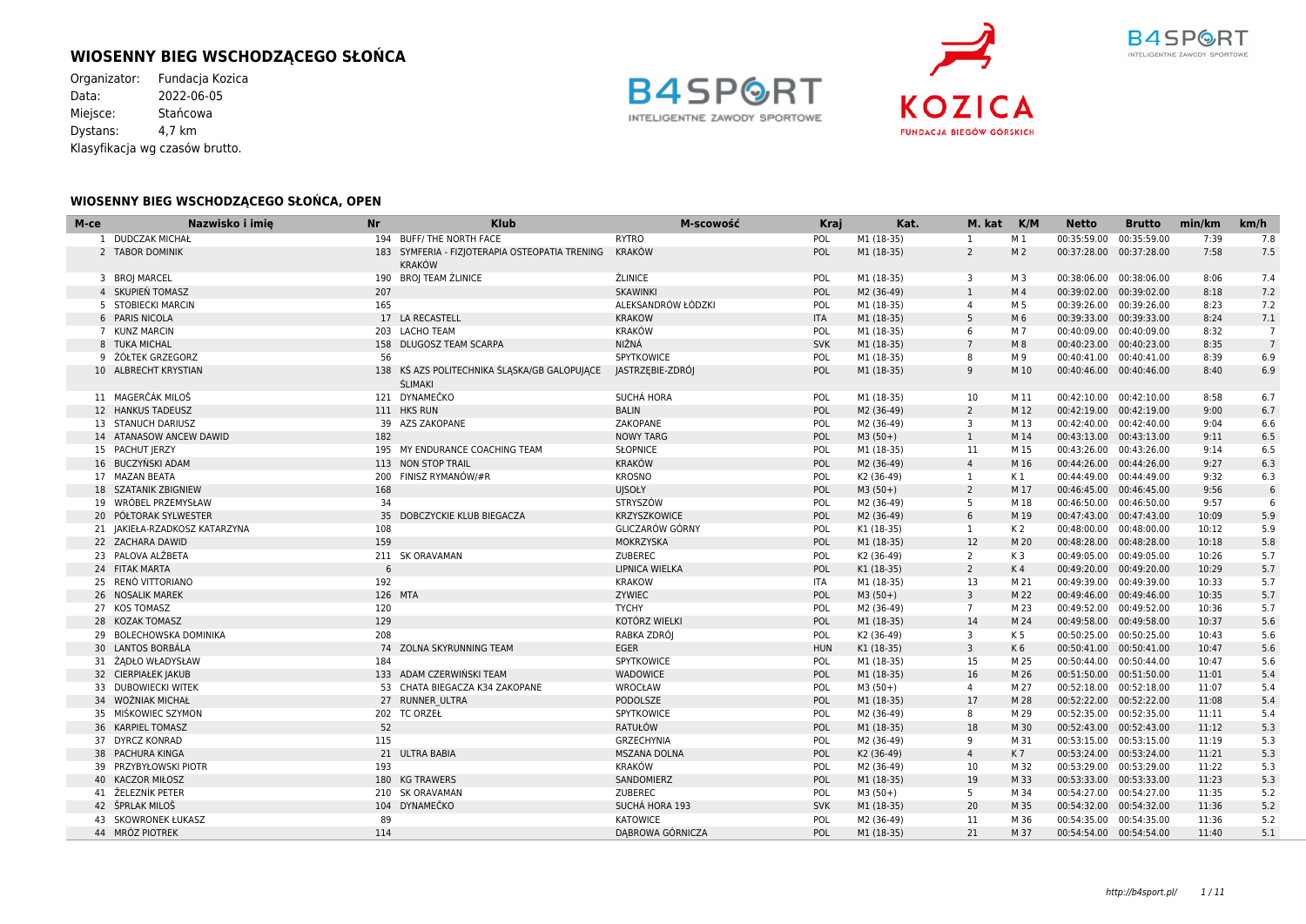# **WIOSENNY BIEG WSCHODZĄCEGO SŁOŃCA**

Organizator: Fundacja Kozica<br>Data: 2022-06-05  $2022 - 06 - 05$ Miejsce: Stańcowa Dystans: 4,7 km Klasyfikacja wg czasów brutto.





#### **WIOSENNY BIEG WSCHODZĄCEGO SŁOŃCA, OPEN**

| M-ce | Nazwisko i imie               | <b>Nr</b> | <b>Klub</b>                                                           | M-scowość           | <b>Kraj</b> | Kat.       | M. kat K/M              |                | <b>Netto</b>            | <b>Brutto</b> | min/km | km/h           |
|------|-------------------------------|-----------|-----------------------------------------------------------------------|---------------------|-------------|------------|-------------------------|----------------|-------------------------|---------------|--------|----------------|
|      | 1 DUDCZAK MICHAŁ              |           | 194 BUFF/THE NORTH FACE                                               | <b>RYTRO</b>        | POL         | M1 (18-35) | 1                       | M 1            | 00:35:59.00 00:35:59.00 |               | 7:39   | 7.8            |
|      | 2 TABOR DOMINIK               |           | 183 SYMFERIA - FIZJOTERAPIA OSTEOPATIA TRENING<br><b>KRAKÓW</b>       | KRAKÓW              | <b>POL</b>  | M1 (18-35) | $\overline{2}$          | M <sub>2</sub> | 00:37:28.00 00:37:28.00 |               | 7:58   | 7.5            |
|      | 3 BROJ MARCEL                 |           | 190 BROJ TEAM ŹLINICE                                                 | <b>ŹLINICE</b>      | POL         | M1 (18-35) | $\overline{\mathbf{3}}$ | M 3            | 00:38:06.00 00:38:06.00 |               | 8:06   | 7.4            |
|      | 4 SKUPIEŃ TOMASZ              | 207       |                                                                       | <b>SKAWINKI</b>     | POL         | M2 (36-49) | <sup>1</sup>            | M <sub>4</sub> | 00:39:02.00 00:39:02.00 |               | 8:18   | 7.2            |
|      | 5 STOBIECKI MARCIN            | 165       |                                                                       | ALEKSANDRÓW ŁÓDZKI  | POL         | M1 (18-35) | $\overline{4}$          | M 5            | 00:39:26.00 00:39:26.00 |               | 8:23   | 7.2            |
|      | 6 PARIS NICOLA                |           | 17 LA RECASTELL                                                       | <b>KRAKOW</b>       | <b>ITA</b>  | M1 (18-35) | 5 <sup>5</sup>          | M 6            | 00:39:33.00 00:39:33.00 |               | 8:24   | 7.1            |
|      | 7 KUNZ MARCIN                 |           | 203 LACHO TEAM                                                        | <b>KRAKÓW</b>       | POL         | M1 (18-35) | 6                       | M 7            | 00:40:09.00 00:40:09.00 |               | 8:32   | $\overline{7}$ |
|      | 8 TUKA MICHAL                 |           | 158 DLUGOSZ TEAM SCARPA                                               | NIŽNÁ               | <b>SVK</b>  | M1 (18-35) | $7\overline{ }$         | M 8            | 00:40:23.00 00:40:23.00 |               | 8:35   | $\overline{7}$ |
|      | 9 ŻÓŁTEK GRZEGORZ             | 56        |                                                                       | <b>SPYTKOWICE</b>   | POL         | M1 (18-35) | 8                       | M 9            | 00:40:41.00 00:40:41.00 |               | 8:39   | 6.9            |
|      | 10 ALBRECHT KRYSTIAN          |           | 138 KŚ AZS POLITECHNIKA ŚLĄSKA/GB GALOPUJĄCE<br><b><i>ŚLIMAKI</i></b> | JASTRZĘBIE-ZDRÓJ    | POL         | M1 (18-35) | 9                       | M 10           | 00:40:46.00 00:40:46.00 |               | 8:40   | 6.9            |
|      | 11 MAGERČÁK MILOŠ             |           | 121 DYNAMEČKO                                                         | SUCHÁ HORA          | POL         | M1 (18-35) | 10                      | M 11           | 00:42:10.00 00:42:10.00 |               | 8:58   | 6.7            |
|      | 12 HANKUS TADEUSZ             |           | 111 HKS RUN                                                           | <b>BALIN</b>        | POL         | M2 (36-49) | $\overline{2}$          | M 12           | 00:42:19.00 00:42:19.00 |               | 9:00   | 6.7            |
|      | 13 STANUCH DARIUSZ            |           | 39 AZS ZAKOPANE                                                       | ZAKOPANE            | POL         | M2 (36-49) | 3                       | M 13           | 00:42:40.00 00:42:40.00 |               | 9:04   | 6.6            |
|      | 14 ATANASOW ANCEW DAWID       | 182       |                                                                       | <b>NOWY TARG</b>    | POL         | $M3(50+)$  | $\mathbf{1}$            | M 14           | 00:43:13.00 00:43:13.00 |               | 9:11   | 6.5            |
|      | 15 PACHUT JERZY               |           | 195 MY ENDURANCE COACHING TEAM                                        | <b>SŁOPNICE</b>     | POL         | M1 (18-35) | 11                      | M 15           | 00:43:26.00 00:43:26.00 |               | 9:14   | 6.5            |
|      | 16 BUCZYŃSKI ADAM             |           | 113 NON STOP TRAIL                                                    | KRAKÓW              | POL         | M2 (36-49) | $\overline{4}$          | M 16           | 00:44:26.00 00:44:26.00 |               | 9:27   | 6.3            |
|      | 17 MAZAN BEATA                |           | 200 FINISZ RYMANÓW/#R                                                 | <b>KROSNO</b>       | POL         | K2 (36-49) | 1                       | K 1            | 00:44:49.00 00:44:49.00 |               | 9:32   | 6.3            |
|      | <b>18 SZATANIK ZBIGNIEW</b>   | 168       |                                                                       | <b>UJSOŁY</b>       | POL         | $M3(50+)$  | 2                       | M 17           | 00:46:45.00 00:46:45.00 |               | 9:56   | 6              |
|      | 19 WRÓBEL PRZEMYSŁAW          | 34        |                                                                       | <b>STRYSZÓW</b>     | POL         | M2 (36-49) | 5                       | M 18           | 00:46:50.00 00:46:50.00 |               | 9:57   | 6              |
|      | 20 POŁTORAK SYLWESTER         |           | 35 DOBCZYCKIE KLUB BIEGACZA                                           | KRZYSZKOWICE        | POL         | M2 (36-49) | 6                       | M 19           | 00:47:43.00 00:47:43.00 |               | 10:09  | 5.9            |
|      | 21 JAKIEŁA-RZADKOSZ KATARZYNA | 108       |                                                                       | GLICZARÓW GÓRNY     | POL         | K1 (18-35) | <sup>1</sup>            | K 2            | 00:48:00.00 00:48:00.00 |               | 10:12  | 5.9            |
|      | 22 ZACHARA DAWID              | 159       |                                                                       | MOKRZYSKA           | POL         | M1 (18-35) | 12                      | M 20           | 00:48:28.00 00:48:28.00 |               | 10:18  | 5.8            |
|      | 23 PALOVA ALŽBETA             |           | 211 SK ORAVAMAN                                                       | ZUBEREC             | POL         | K2 (36-49) | $\overline{2}$          | K <sub>3</sub> | 00:49:05.00 00:49:05.00 |               | 10:26  | 5.7            |
|      | 24 FITAK MARTA                | 6         |                                                                       | LIPNICA WIELKA      | POL         | K1 (18-35) | $\overline{2}$          | K4             | 00:49:20.00 00:49:20.00 |               | 10:29  | 5.7            |
|      | 25 RENÒ VITTORIANO            | 192       |                                                                       | <b>KRAKOW</b>       | <b>ITA</b>  | M1 (18-35) | 13                      | M 21           | 00:49:39.00 00:49:39.00 |               | 10:33  | 5.7            |
|      | 26 NOSALIK MAREK              | 126 MTA   |                                                                       | ZYWIEC              | POL         | $M3(50+)$  | $\overline{3}$          | M 22           | 00:49:46.00 00:49:46.00 |               | 10:35  | 5.7            |
|      | 27 KOS TOMASZ                 | 120       |                                                                       | <b>TYCHY</b>        | POL         | M2 (36-49) | $7^{\circ}$             | M 23           | 00:49:52.00 00:49:52.00 |               | 10:36  | 5.7            |
|      | 28 KOZAK TOMASZ               | 129       |                                                                       | KOTÓRZ WIELKI       | POL         | M1 (18-35) | 14                      | M 24           | 00:49:58.00 00:49:58.00 |               | 10:37  | 5.6            |
|      | 29 BOLECHOWSKA DOMINIKA       | 208       |                                                                       | RABKA ZDRÓJ         | POL         | K2 (36-49) | 3                       | K 5            | 00:50:25.00 00:50:25.00 |               | 10:43  | 5.6            |
|      | 30 LANTOS BORBÁLA             |           | 74 ZOLNA SKYRUNNING TEAM                                              | EGER                | <b>HUN</b>  | K1 (18-35) | $\overline{3}$          | K <sub>6</sub> | 00:50:41.00 00:50:41.00 |               | 10:47  | 5.6            |
|      | 31 ŻADŁO WŁADYSŁAW            | 184       |                                                                       | SPYTKOWICE          | POL         | M1 (18-35) | 15                      | M 25           | 00:50:44.00 00:50:44.00 |               | 10:47  | 5.6            |
|      | 32 CIERPIAŁEK JAKUB           |           | 133 ADAM CZERWIŃSKI TEAM                                              | <b>WADOWICE</b>     | POL         | M1 (18-35) | 16                      | M 26           | 00:51:50.00 00:51:50.00 |               | 11:01  | 5.4            |
|      | 33 DUBOWIECKI WITEK           |           | 53 CHATA BIEGACZA K34 ZAKOPANE                                        | WROCŁAW             | POL         | $M3(50+)$  | $\overline{4}$          | M 27           | 00:52:18.00 00:52:18.00 |               | 11:07  | 5.4            |
|      | 34 WOŹNIAK MICHAŁ             |           | 27 RUNNER ULTRA                                                       | PODOLSZE            | POL         | M1 (18-35) | 17                      | M 28           | 00:52:22.00 00:52:22.00 |               | 11:08  | 5.4            |
|      | 35 MIŚKOWIEC SZYMON           |           | 202 TC ORZEŁ                                                          | SPYTKOWICE          | POL         | M2 (36-49) | 8                       | M 29           | 00:52:35.00 00:52:35.00 |               | 11:11  | 5.4            |
|      | 36 KARPIEL TOMASZ             | 52        |                                                                       | <b>RATUŁÓW</b>      | POL         | M1 (18-35) | 18                      | M 30           | 00:52:43.00 00:52:43.00 |               | 11:12  | 5.3            |
|      | 37 DYRCZ KONRAD               | 115       |                                                                       | GRZECHYNIA          | <b>POL</b>  | M2 (36-49) | 9                       | M 31           | 00:53:15.00 00:53:15.00 |               | 11:19  | 5.3            |
|      | 38 PACHURA KINGA              |           | 21 ULTRA BABIA                                                        | <b>MSZANA DOLNA</b> | POL         | K2 (36-49) | $\overline{4}$          | K7             | 00:53:24.00 00:53:24.00 |               | 11:21  | 5.3            |
|      | 39 PRZYBYŁOWSKI PIOTR         | 193       |                                                                       | <b>KRAKÓW</b>       | POL         | M2 (36-49) | 10                      | M 32           | 00:53:29.00 00:53:29.00 |               | 11:22  | 5.3            |
|      | 40 KACZOR MIŁOSZ              |           | 180 KG TRAWERS                                                        | SANDOMIERZ          | POL         | M1 (18-35) | 19                      | M 33           | 00:53:33.00 00:53:33.00 |               | 11:23  | 5.3            |
|      | 41 ŽELEZNÍK PETER             |           | 210 SK ORAVAMAN                                                       | ZUBEREC             | POL         | $M3(50+)$  | 5                       | M 34           | 00:54:27.00 00:54:27.00 |               | 11:35  | 5.2            |
|      | 42 ŠPRLAK MILOŠ               |           | 104 DYNAMEČKO                                                         | SUCHÁ HORA 193      | <b>SVK</b>  | M1 (18-35) | 20                      | M 35           | 00:54:32.00 00:54:32.00 |               | 11:36  | 5.2            |
|      | 43 SKOWRONEK ŁUKASZ           | 89        |                                                                       | <b>KATOWICE</b>     | POL         | M2 (36-49) | 11                      | M 36           | 00:54:35.00 00:54:35.00 |               | 11:36  | 5.2            |
|      | 44 MRÓZ PIOTREK               | 114       |                                                                       | DABROWA GÓRNICZA    | POL         | M1 (18-35) | 21                      | M 37           | 00:54:54.00 00:54:54.00 |               | 11:40  | 5.1            |

B4SF

INTELIGENTNE ZAWODY SPORTOWE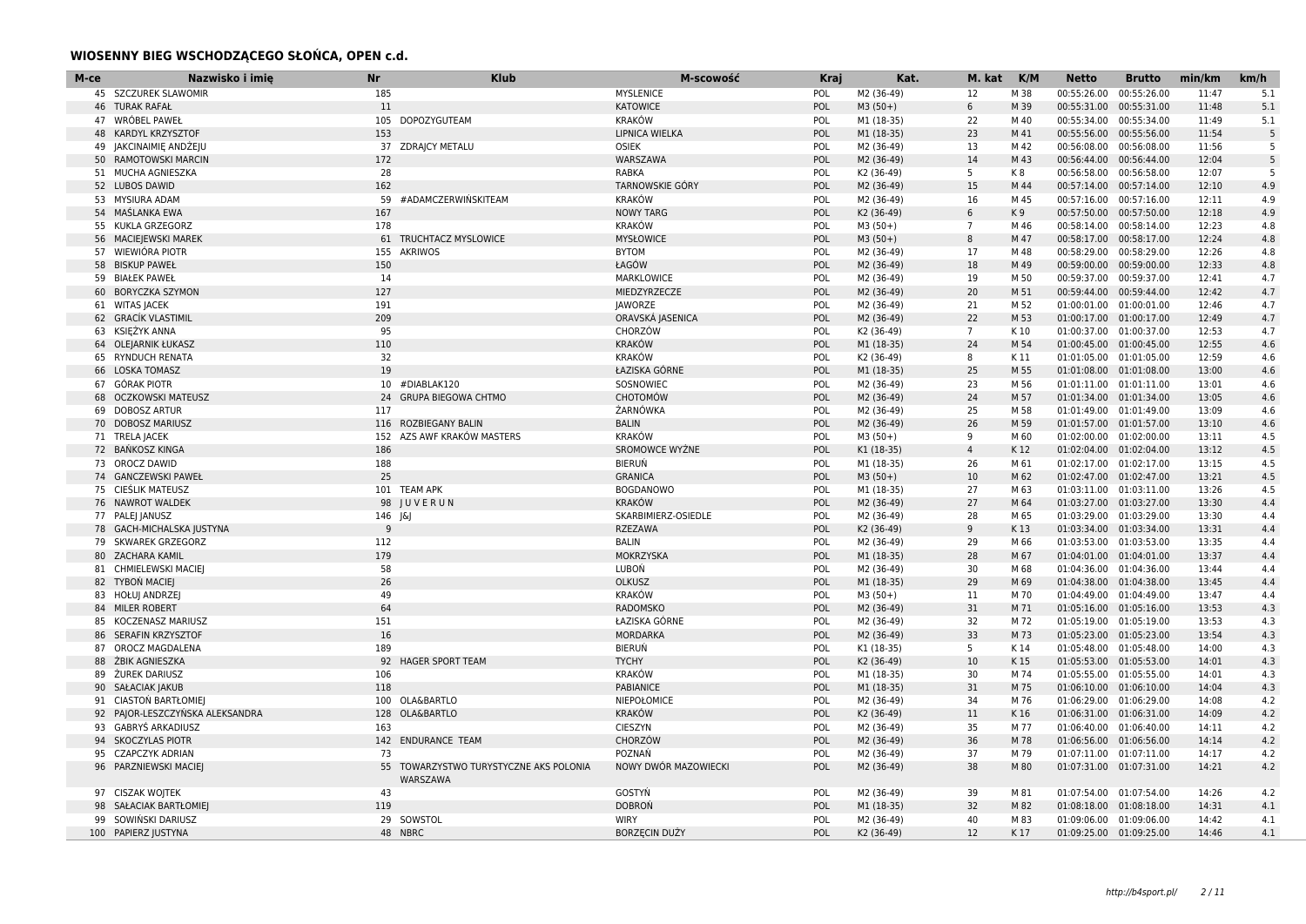### **WIOSENNY BIEG WSCHODZĄCEGO SŁOŃCA, OPEN c.d.**

| M-ce | Nazwisko i imie                 | <b>Nr</b> | <b>Klub</b>                                        | M-scowość              | <b>Kraj</b> | Kat.       | M. kat            | K/M  | <b>Netto</b>             | <b>Brutto</b>            | min/km | km/h |
|------|---------------------------------|-----------|----------------------------------------------------|------------------------|-------------|------------|-------------------|------|--------------------------|--------------------------|--------|------|
|      | 45 SZCZUREK SLAWOMIR            | 185       |                                                    | <b>MYSLENICE</b>       | POL         | M2 (36-49) | 12                | M 38 | 00:55:26.00              | 00:55:26.00              | 11:47  | 5.1  |
|      | <b>46 TURAK RAFAŁ</b>           | 11        |                                                    | <b>KATOWICE</b>        | POL         | $M3(50+)$  | 6                 | M 39 |                          | 00:55:31.00 00:55:31.00  | 11:48  | 5.1  |
|      | 47 WRÓBEL PAWEŁ                 | 105       | <b>DOPOZYGUTEAM</b>                                | <b>KRAKÓW</b>          | POL         | M1 (18-35) | 22                | M 40 | 00:55:34.00              | 00:55:34.00              | 11:49  | 5.1  |
|      | 48 KARDYL KRZYSZTOF             | 153       |                                                    | LIPNICA WIELKA         | POL         | M1 (18-35) | 23                | M 41 | 00:55:56.00 00:55:56.00  |                          | 11:54  | 5    |
|      | 49 JAKCINAIMIĘ ANDŻEJU          |           | 37 ZDRAJCY METALU                                  | <b>OSIEK</b>           | POL         | M2 (36-49) | 13                | M 42 | 00:56:08.00 00:56:08.00  |                          | 11:56  | -5   |
|      | 50 RAMOTOWSKI MARCIN            | 172       |                                                    | WARSZAWA               | POL         | M2 (36-49) | 14                | M 43 | 00:56:44.00 00:56:44.00  |                          | 12:04  | 5    |
|      | 51 MUCHA AGNIESZKA              | 28        |                                                    | <b>RABKA</b>           | POL         | K2 (36-49) | 5                 | K8   | 00:56:58.00 00:56:58.00  |                          | 12:07  | -5   |
|      | 52 LUBOS DAWID                  | 162       |                                                    | <b>TARNOWSKIE GÓRY</b> | POL         | M2 (36-49) | 15                | M 44 |                          | 00:57:14.00 00:57:14.00  | 12:10  | 4.9  |
|      | 53 MYSIURA ADAM                 | 59        | #ADAMCZERWIŃSKITEAM                                | <b>KRAKÓW</b>          | POL         | M2 (36-49) | 16                | M 45 | 00:57:16.00 00:57:16.00  |                          | 12:11  | 4.9  |
|      | 54 MAŚLANKA EWA                 | 167       |                                                    | <b>NOWY TARG</b>       | POL         | K2 (36-49) | 6                 | K9   | 00:57:50.00              | 00:57:50.00              | 12:18  | 4.9  |
|      | 55 KUKLA GRZEGORZ               | 178       |                                                    | <b>KRAKÓW</b>          | POL         | $M3(50+)$  | $\overline{7}$    | M 46 | 00:58:14.00 00:58:14.00  |                          | 12:23  | 4.8  |
|      | 56 MACIEJEWSKI MAREK            | 61        | TRUCHTACZ MYSLOWICE                                | <b>MYSŁOWICE</b>       | POL         | $M3(50+)$  | 8                 | M 47 | 00:58:17.00 00:58:17.00  |                          | 12:24  | 4.8  |
|      | 57 WIEWIÓRA PIOTR               | 155       | <b>AKRIWOS</b>                                     | <b>BYTOM</b>           | POL         | M2 (36-49) | 17                | M 48 | 00:58:29.00              | 00:58:29.00              | 12:26  | 4.8  |
|      | 58 BISKUP PAWEŁ                 | 150       |                                                    | ŁAGÓW                  | POL         | M2 (36-49) | 18                | M 49 | 00:59:00.00 00:59:00.00  |                          | 12:33  | 4.8  |
|      | 59 BIAŁEK PAWEŁ                 | 14        |                                                    | MARKLOWICE             | POL         | M2 (36-49) | 19                | M 50 | 00:59:37.00 00:59:37.00  |                          | 12:41  | 4.7  |
|      | 60 BORYCZKA SZYMON              | 127       |                                                    | MIEDZYRZECZE           | POL         | M2 (36-49) | 20                | M 51 | 00:59:44.00 00:59:44.00  |                          | 12:42  | 4.7  |
|      | 61 WITAS JACEK                  | 191       |                                                    | JAWORZE                | POL         | M2 (36-49) | 21                | M 52 | 01:00:01.00  01:00:01.00 |                          | 12:46  | 4.7  |
|      | 62 GRACÍK VLASTIMIL             | 209       |                                                    | ORAVSKÁ JASENICA       | POL         | M2 (36-49) | 22                | M 53 | 01:00:17.00 01:00:17.00  |                          | 12:49  | 4.7  |
|      | 63 KSIEŻYK ANNA                 | 95        |                                                    | <b>CHORZÓW</b>         | POL         | K2 (36-49) | $7^{\circ}$       | K 10 |                          | 01:00:37.00 01:00:37.00  | 12:53  | 4.7  |
|      | 64 OLEJARNIK ŁUKASZ             | 110       |                                                    | <b>KRAKÓW</b>          | POL         | M1 (18-35) | 24                | M 54 |                          | 01:00:45.00 01:00:45.00  | 12:55  | 4.6  |
|      | 65 RYNDUCH RENATA               | 32        |                                                    | <b>KRAKÓW</b>          | POL         | K2 (36-49) | 8                 | K 11 |                          | 01:01:05.00 01:01:05.00  | 12:59  | 4.6  |
|      | 66 LOSKA TOMASZ                 | 19        |                                                    | ŁAZISKA GÓRNE          | POL         | M1 (18-35) | 25                | M 55 | 01:01:08.00  01:01:08.00 |                          | 13:00  | 4.6  |
|      | 67 GÓRAK PIOTR                  |           | 10 #DIABLAK120                                     | SOSNOWIEC              | POL         | M2 (36-49) | 23                | M 56 | 01:01:11.00  01:01:11.00 |                          | 13:01  | 4.6  |
|      | 68 OCZKOWSKI MATEUSZ            | 24        | <b>GRUPA BIEGOWA CHTMO</b>                         | <b>CHOTOMÓW</b>        | POL         | M2 (36-49) | 24                | M 57 |                          | 01:01:34.00  01:01:34.00 | 13:05  | 4.6  |
|      | 69 DOBOSZ ARTUR                 | 117       |                                                    | ŻARNÓWKA               | POL         | M2 (36-49) | 25                | M 58 | 01:01:49.00 01:01:49.00  |                          | 13:09  | 4.6  |
|      | 70 DOBOSZ MARIUSZ               |           | 116 ROZBIEGANY BALIN                               | <b>BALIN</b>           | POL         | M2 (36-49) | 26                | M 59 |                          | 01:01:57.00 01:01:57.00  | 13:10  | 4.6  |
|      | 71 TRELA JACEK                  | 152       | AZS AWF KRAKÓW MASTERS                             | <b>KRAKÓW</b>          | POL         | $M3(50+)$  | 9                 | M 60 | 01:02:00.00 01:02:00.00  |                          | 13:11  | 4.5  |
|      | 72 BAŃKOSZ KINGA                | 186       |                                                    | SROMOWCE WYŻNE         | POL         | K1 (18-35) | $\overline{4}$    | K 12 |                          | 01:02:04.00 01:02:04.00  | 13:12  | 4.5  |
|      | 73 OROCZ DAWID                  | 188       |                                                    | BIERUŃ                 | POL         | M1 (18-35) | 26                | M 61 |                          | 01:02:17.00 01:02:17.00  | 13:15  | 4.5  |
|      | 74 GANCZEWSKI PAWEŁ             | 25        |                                                    | <b>GRANICA</b>         | POL         | $M3(50+)$  | 10                | M 62 |                          | 01:02:47.00 01:02:47.00  | 13:21  | 4.5  |
|      | 75 CIESLIK MATEUSZ              |           | 101 TEAM APK                                       | <b>BOGDANOWO</b>       | POL         | M1 (18-35) | 27                | M 63 |                          | 01:03:11.00 01:03:11.00  | 13:26  | 4.5  |
|      | 76 NAWROT WALDEK                |           | 98 IUVERUN                                         | <b>KRAKÓW</b>          | POL         | M2 (36-49) | 27                | M 64 |                          | 01:03:27.00 01:03:27.00  | 13:30  | 4.4  |
|      | 77 PALEJ JANUSZ                 | 146 J&J   |                                                    | SKARBIMIERZ-OSIEDLE    | POL         | M2 (36-49) | 28                | M 65 | 01:03:29.00 01:03:29.00  |                          | 13:30  | 4.4  |
|      | 78 GACH-MICHALSKA JUSTYNA       | q         |                                                    | <b>RZEZAWA</b>         | POL         | K2 (36-49) | 9                 | K 13 |                          | 01:03:34.00 01:03:34.00  | 13:31  | 4.4  |
|      | 79 SKWAREK GRZEGORZ             | 112       |                                                    | <b>BALIN</b>           | POL         | M2 (36-49) | 29                | M 66 |                          | 01:03:53.00 01:03:53.00  | 13:35  | 4.4  |
|      | 80 ZACHARA KAMIL                | 179       |                                                    | MOKRZYSKA              | POL         | M1 (18-35) | 28                | M 67 | 01:04:01.00  01:04:01.00 |                          | 13:37  | 4.4  |
|      | 81 CHMIELEWSKI MACIEJ           | 58        |                                                    | LUBOŃ                  | POL         | M2 (36-49) | 30                | M 68 | 01:04:36.00 01:04:36.00  |                          | 13:44  | 4.4  |
|      | 82 TYBOŃ MACIEJ                 | 26        |                                                    | <b>OLKUSZ</b>          | POL         | M1 (18-35) | 29                | M 69 | 01:04:38.00 01:04:38.00  |                          | 13:45  | 4.4  |
|      | 83 HOŁUJ ANDRZEJ                | 49        |                                                    | <b>KRAKÓW</b>          | POL         | $M3(50+)$  | 11                | M 70 | 01:04:49.00              | 01:04:49.00              | 13:47  | 4.4  |
|      | 84 MILER ROBERT                 | 64        |                                                    | <b>RADOMSKO</b>        | POL         | M2 (36-49) | 31                | M 71 | 01:05:16.00 01:05:16.00  |                          | 13:53  | 4.3  |
|      | 85 KOCZENASZ MARIUSZ            | 151       |                                                    | ŁAZISKA GÓRNE          | POL         | M2 (36-49) | 32                | M 72 | 01:05:19.00 01:05:19.00  |                          | 13:53  | 4.3  |
|      | 86 SERAFIN KRZYSZTOF            | 16        |                                                    | MORDARKA               | POL         | M2 (36-49) | 33                | M 73 |                          | 01:05:23.00 01:05:23.00  | 13:54  | 4.3  |
| 87   | OROCZ MAGDALENA                 | 189       |                                                    | BIERUŃ                 | POL         | K1 (18-35) | 5                 | K 14 | 01:05:48.00  01:05:48.00 |                          | 14:00  | 4.3  |
|      | 88 ŻBIK AGNIESZKA               |           | 92 HAGER SPORT TEAM                                | <b>TYCHY</b>           | POL         | K2 (36-49) | 10                | K 15 |                          | 01:05:53.00 01:05:53.00  | 14:01  | 4.3  |
|      | 89 ŻUREK DARIUSZ                | 106       |                                                    | <b>KRAKÓW</b>          | POL         | M1 (18-35) | 30                | M 74 | 01:05:55.00 01:05:55.00  |                          | 14:01  | 4.3  |
|      | 90 SAŁACIAK JAKUB               | 118       |                                                    | PABIANICE              | POL         | M1 (18-35) | 31                | M 75 |                          | 01:06:10.00  01:06:10.00 | 14:04  | 4.3  |
|      | 91 CIASTON BARTŁOMIEJ           |           | 100 OLA&BARTLO                                     | NIEPOŁOMICE            | POL         | M2 (36-49) | 34                | M 76 | 01:06:29.00 01:06:29.00  |                          | 14:08  | 4.2  |
|      | 92 PAJOR-LESZCZYŃSKA ALEKSANDRA |           | 128 OLA&BARTLO                                     | <b>KRAKÓW</b>          | POL         | K2 (36-49) | 11                | K 16 | 01:06:31.00 01:06:31.00  |                          | 14:09  | 4.2  |
|      | 93 GABRYŚ ARKADIUSZ             | 163       |                                                    | <b>CIESZYN</b>         | POL         | M2 (36-49) | 35                | M 77 |                          | 01:06:40.00 01:06:40.00  | 14:11  | 4.2  |
|      | 94 SKOCZYLAS PIOTR              |           | 142 ENDURANCE TEAM                                 | CHORZÓW                | POL         | M2 (36-49) | 36                | M 78 | 01:06:56.00 01:06:56.00  |                          | 14:14  | 4.2  |
|      | 95 CZAPCZYK ADRIAN              | 73        |                                                    | POZNAŃ                 | POL         | M2 (36-49) | 37                | M 79 | 01:07:11.00 01:07:11.00  |                          | 14:17  | 4.2  |
|      | 96 PARZNIEWSKI MACIEJ           |           | 55 TOWARZYSTWO TURYSTYCZNE AKS POLONIA<br>WARSZAWA | NOWY DWÓR MAZOWIECKI   | POL         | M2 (36-49) | 38                | M 80 | 01:07:31.00 01:07:31.00  |                          | 14:21  | 4.2  |
|      | 97 CISZAK WOJTEK                | 43        |                                                    | GOSTYŃ                 | POL         | M2 (36-49) | 39                | M 81 | 01:07:54.00 01:07:54.00  |                          | 14:26  | 4.2  |
|      | 98 SAŁACIAK BARTŁOMIEJ          | 119       |                                                    | <b>DOBROŃ</b>          | POL         | M1 (18-35) | 32                | M 82 | 01:08:18.00  01:08:18.00 |                          | 14:31  | 4.1  |
|      | 99 SOWIŃSKI DARIUSZ             |           | 29 SOWSTOL                                         | <b>WIRY</b>            | POL         | M2 (36-49) | 40                | M 83 | 01:09:06.00 01:09:06.00  |                          | 14:42  | 4.1  |
|      | 100 PAPIERZ JUSTYNA             |           | 48 NBRC                                            | <b>BORZECIN DUŻY</b>   | POL         | K2 (36-49) | $12 \overline{ }$ | K17  |                          | 01:09:25.00 01:09:25.00  | 14:46  | 4.1  |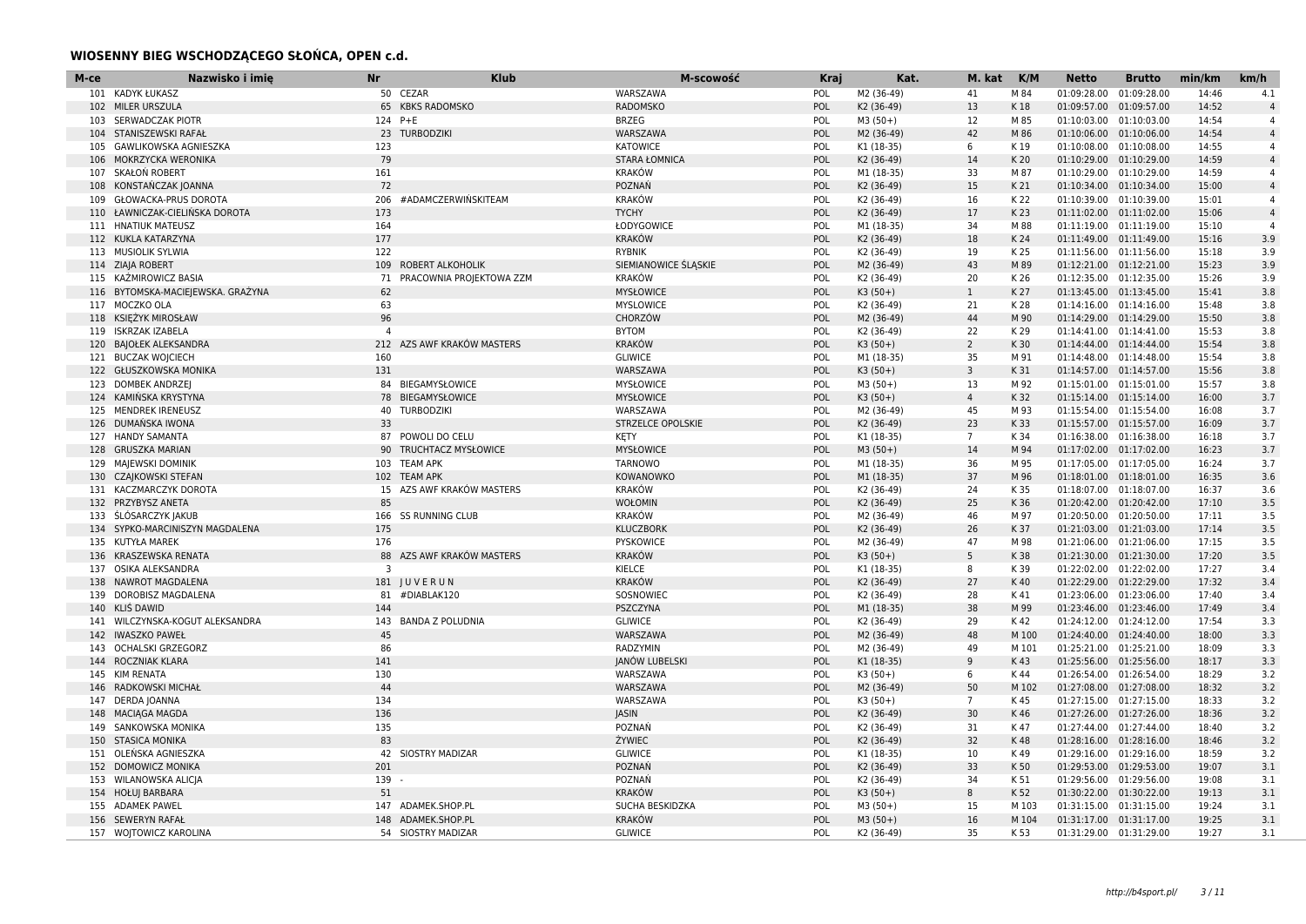### **WIOSENNY BIEG WSCHODZĄCEGO SŁOŃCA, OPEN c.d.**

| M-ce | Nazwisko i imie<br><b>Nr</b>                  | <b>Klub</b>                | M-scowość                | <b>Kraj</b> | Kat.                     | M. kat          | K/M          | <b>Netto</b>            | <b>Brutto</b>                                      | min/km         | km/h           |
|------|-----------------------------------------------|----------------------------|--------------------------|-------------|--------------------------|-----------------|--------------|-------------------------|----------------------------------------------------|----------------|----------------|
|      | 101 KADYK ŁUKASZ                              | 50 CEZAR                   | WARSZAWA                 | POL         | M2 (36-49)               | 41              | M 84         | 01:09:28.00             | 01:09:28.00                                        | 14:46          | 4.1            |
|      | 102 MILER URSZULA                             | 65 KBKS RADOMSKO           | <b>RADOMSKO</b>          | POL         | K2 (36-49)               | 13              | K 18         |                         | 01:09:57.00 01:09:57.00                            | 14:52          | $\overline{4}$ |
|      | 103 SERWADCZAK PIOTR                          | 124 P+E                    | <b>BRZEG</b>             | POL         | $M3(50+)$                | 12              | M 85         | 01:10:03.00             | 01:10:03.00                                        | 14:54          | $\overline{4}$ |
|      | 104 STANISZEWSKI RAFAŁ                        | 23 TURBODZIKI              | WARSZAWA                 | POL         | M2 (36-49)               | 42              | M 86         |                         | 01:10:06.00 01:10:06.00                            | 14:54          | $\overline{4}$ |
|      | 105 GAWLIKOWSKA AGNIESZKA<br>123              |                            | <b>KATOWICE</b>          | POL         | K1 (18-35)               | 6               | K 19         |                         | 01:10:08.00 01:10:08.00                            | 14:55          | $\overline{4}$ |
|      | 79<br>106 MOKRZYCKA WERONIKA                  |                            | <b>STARA ŁOMNICA</b>     | POL         | K2 (36-49)               | 14              | K 20         |                         | 01:10:29.00 01:10:29.00                            | 14:59          | $\overline{4}$ |
| 107  | SKAŁOŃ ROBERT<br>161                          |                            | <b>KRAKÓW</b>            | POL         | M1 (18-35)               | 33              | M 87         | 01:10:29.00 01:10:29.00 |                                                    | 14:59          | $\overline{4}$ |
| 108  | KONSTAŃCZAK JOANNA<br>72                      |                            | POZNAŃ                   | POL         | K2 (36-49)               | 15              | K 21         |                         | 01:10:34.00 01:10:34.00                            | 15:00          | $\overline{4}$ |
| 109  | GŁOWACKA-PRUS DOROTA<br>206                   | #ADAMCZERWIŃSKITEAM        | <b>KRAKÓW</b>            | POL         | K2 (36-49)               | 16              | K 22         |                         | 01:10:39.00 01:10:39.00                            | 15:01          | $\overline{4}$ |
|      | 110 ŁAWNICZAK-CIELIŃSKA DOROTA<br>173         |                            | <b>TYCHY</b>             | POL         | K2 (36-49)               | 17              | K 23         |                         | 01:11:02.00 01:11:02.00                            | 15:06          | $\overline{4}$ |
|      | 164<br>111 HNATIUK MATEUSZ                    |                            | ŁODYGOWICE               | POL         | M1 (18-35)               | 34              | M 88         |                         | 01:11:19.00 01:11:19.00                            | 15:10          | $\overline{4}$ |
|      | 112 KUKLA KATARZYNA<br>177                    |                            | <b>KRAKÓW</b>            | POL         | K2 (36-49)               | 18              | K 24         |                         | 01:11:49.00 01:11:49.00                            | 15:16          | 3.9            |
|      | 113 MUSIOLIK SYLWIA<br>122                    |                            | <b>RYBNIK</b>            | POL         | K2 (36-49)               | 19              | K 25         |                         | 01:11:56.00 01:11:56.00                            | 15:18          | 3.9            |
|      | 114 ZIAJA ROBERT<br>109                       | ROBERT ALKOHOLIK           | SIEMIANOWICE ŚLĄSKIE     | POL         | M2 (36-49)               | 43              | M 89         |                         | 01:12:21.00 01:12:21.00                            | 15:23          | 3.9            |
|      | 115 KAŻMIROWICZ BASIA<br>71                   | PRACOWNIA PROJEKTOWA ZZM   | <b>KRAKÓW</b>            | POL         | K2 (36-49)               | 20              | K 26         |                         | 01:12:35.00 01:12:35.00                            | 15:26          | 3.9            |
|      | 116 BYTOMSKA-MACIEJEWSKA. GRAŻYNA<br>62       |                            | <b>MYSŁOWICE</b>         | POL         | $K3(50+)$                | $\mathbf{1}$    | K 27         |                         | 01:13:45.00 01:13:45.00                            | 15:41          | 3.8            |
|      | 117 MOCZKO OLA<br>63                          |                            | <b>MYSLOWICE</b>         | POL         | K2 (36-49)               | 21              | K 28         |                         | 01:14:16.00 01:14:16.00                            | 15:48          | 3.8            |
|      | 96<br>118 KSIEŻYK MIROSŁAW                    |                            | CHORZÓW                  | POL         | M2 (36-49)               | 44              | M 90         |                         | 01:14:29.00 01:14:29.00                            | 15:50          | 3.8            |
|      | 119 ISKRZAK IZABELA<br>$\overline{4}$         |                            | <b>BYTOM</b>             | POL         | K2 (36-49)               | 22              | K 29         |                         | 01:14:41.00 01:14:41.00                            | 15:53          | 3.8            |
|      | 120 BAJOŁEK ALEKSANDRA<br>212                 | AZS AWF KRAKÓW MASTERS     | <b>KRAKÓW</b>            | POL         | $K3(50+)$                | $\overline{2}$  | K 30         |                         | 01:14:44.00 01:14:44.00                            | 15:54          | 3.8            |
|      | 121 BUCZAK WOJCIECH<br>160                    |                            | <b>GLIWICE</b>           | POL         | M1 (18-35)               | 35              | M 91         |                         | 01:14:48.00 01:14:48.00                            | 15:54          | 3.8            |
|      | 122 GŁUSZKOWSKA MONIKA<br>131                 |                            | WARSZAWA                 | POL         | $K3(50+)$                | 3               | K 31         |                         | 01:14:57.00 01:14:57.00                            | 15:56          | 3.8            |
|      | 123 DOMBEK ANDRZEJ<br>84                      | BIEGAMYSŁOWICE             | <b>MYSŁOWICE</b>         | POL         | $M3(50+)$                | 13              | M 92         |                         | 01:15:01.00 01:15:01.00                            | 15:57          | 3.8            |
|      | 124 KAMIŃSKA KRYSTYNA<br>78                   | BIEGAMYSŁOWICE             | <b>MYSŁOWICE</b>         | POL         | $K3(50+)$                | $\overline{4}$  | K 32         |                         | 01:15:14.00 01:15:14.00                            | 16:00          | 3.7            |
|      | 125 MENDREK IRENEUSZ                          | 40 TURBODZIKI              | WARSZAWA                 | POL         | M2 (36-49)               | 45              | M 93         | 01:15:54.00 01:15:54.00 |                                                    | 16:08          | 3.7            |
|      | 33<br>126 DUMAŃSKA IWONA                      |                            | <b>STRZELCE OPOLSKIE</b> | POL         | K2 (36-49)               | 23              | K 33         |                         | 01:15:57.00 01:15:57.00                            | 16:09          | 3.7            |
|      | 127 HANDY SAMANTA                             | 87 POWOLI DO CELU          | <b>KETY</b>              | POL         | K1 (18-35)               | $7\overline{ }$ | K 34         |                         | 01:16:38.00 01:16:38.00                            | 16:18          | 3.7            |
|      | 128 GRUSZKA MARIAN<br>90                      | TRUCHTACZ MYSŁOWICE        | <b>MYSŁOWICE</b>         | POL         | $M3(50+)$                | 14              | M 94         |                         | 01:17:02.00 01:17:02.00                            | 16:23          | 3.7            |
|      | 129 MAIEWSKI DOMINIK                          | 103 TEAM APK               | <b>TARNOWO</b>           | POL         | M1 (18-35)               | 36              | M 95         |                         | 01:17:05.00 01:17:05.00                            | 16:24          | 3.7            |
|      | 130 CZAJKOWSKI STEFAN                         | 102 TEAM APK               | KOWANOWKO                | POL         | M1 (18-35)               | 37              | M 96         |                         | 01:18:01.00  01:18:01.00                           | 16:35          | 3.6            |
|      | 131 KACZMARCZYK DOROTA<br>15                  | AZS AWF KRAKÓW MASTERS     | <b>KRAKÓW</b>            | POL         | K2 (36-49)               | 24              | K 35         |                         | 01:18:07.00 01:18:07.00                            | 16:37          | 3.6            |
|      | 132 PRZYBYSZ ANETA<br>85                      |                            | WOŁOMIN                  | POL         | K2 (36-49)               | 25              | K 36         |                         | 01:20:42.00 01:20:42.00                            | 17:10          | 3.5            |
|      | 133 ŚLÓSARCZYK JAKUB                          | 166 SS RUNNING CLUB        | <b>KRAKÓW</b>            | POL         | M2 (36-49)               | 46              | M 97         |                         | 01:20:50.00 01:20:50.00                            | 17:11          | 3.5            |
|      | 134 SYPKO-MARCINISZYN MAGDALENA<br>175        |                            | <b>KLUCZBORK</b>         | POL         | K2 (36-49)               | 26              | K 37         |                         | 01:21:03.00 01:21:03.00                            | 17:14          | 3.5            |
|      | 135 KUTYŁA MAREK<br>176                       |                            | PYSKOWICE                | POL         | M2 (36-49)               | 47              | M 98         |                         | 01:21:06.00 01:21:06.00                            | 17:15          | 3.5            |
|      | 88<br>136 KRASZEWSKA RENATA<br>$\overline{3}$ | AZS AWF KRAKÓW MASTERS     | <b>KRAKÓW</b>            | POL         | $K3(50+)$                | 5               | K 38         |                         | 01:21:30.00 01:21:30.00                            | 17:20          | 3.5            |
| 137  | OSIKA ALEKSANDRA                              |                            | KIELCE<br><b>KRAKÓW</b>  | POL         | K1 (18-35)               | 8               | K 39         |                         | 01:22:02.00 01:22:02.00                            | 17:27          | 3.4            |
|      | 138 NAWROT MAGDALENA<br>DOROBISZ MAGDALENA    | 181 JUVERUN<br>#DIABLAK120 | SOSNOWIEC                | POL<br>POL  | K2 (36-49)               | 27<br>28        | K 40         | 01:23:06.00             | 01:22:29.00 01:22:29.00<br>01:23:06.00             | 17:32<br>17:40 | 3.4<br>3.4     |
| 139  | 81<br>140 KLIS DAWID<br>144                   |                            | PSZCZYNA                 | POL         | K2 (36-49)<br>M1 (18-35) | 38              | K 41<br>M 99 |                         |                                                    | 17:49          | 3.4            |
|      | 141 WILCZYNSKA-KOGUT ALEKSANDRA<br>143        | <b>BANDA Z POLUDNIA</b>    | <b>GLIWICE</b>           | POL         | K2 (36-49)               | 29              | K 42         |                         | 01:23:46.00 01:23:46.00<br>01:24:12.00 01:24:12.00 | 17:54          | 3.3            |
|      | 142 IWASZKO PAWEŁ<br>45                       |                            | WARSZAWA                 | POL         | M2 (36-49)               | 48              | M 100        |                         | 01:24:40.00 01:24:40.00                            | 18:00          | 3.3            |
|      | 143 OCHALSKI GRZEGORZ<br>86                   |                            | RADZYMIN                 | POL         | M2 (36-49)               | 49              | M 101        | 01:25:21.00 01:25:21.00 |                                                    | 18:09          | 3.3            |
|      | 144 ROCZNIAK KLARA<br>141                     |                            | JANÓW LUBELSKI           | POL         | K1 (18-35)               | 9               | K43          |                         | 01:25:56.00 01:25:56.00                            | 18:17          | 3.3            |
|      | 130<br>145 KIM RENATA                         |                            | WARSZAWA                 | POL         | $K3(50+)$                | 6               | K 44         |                         | 01:26:54.00 01:26:54.00                            | 18:29          | 3.2            |
|      | 44<br>146 RADKOWSKI MICHAŁ                    |                            | WARSZAWA                 | POL         | M2 (36-49)               | 50              | M 102        |                         | 01:27:08.00 01:27:08.00                            | 18:32          | 3.2            |
|      | 147 DERDA JOANNA<br>134                       |                            | WARSZAWA                 | POL         | $K3(50+)$                | $7\overline{ }$ | K 45         |                         | 01:27:15.00 01:27:15.00                            | 18:33          | 3.2            |
|      | 136<br>148 MACIAGA MAGDA                      |                            | JASIN                    | POL         | K2 (36-49)               | 30              | K 46         |                         | 01:27:26.00 01:27:26.00                            | 18:36          | 3.2            |
| 149  | 135<br>SANKOWSKA MONIKA                       |                            | POZNAŃ                   | POL         | K2 (36-49)               | 31              | K 47         |                         | 01:27:44.00 01:27:44.00                            | 18:40          | 3.2            |
|      | 83<br>150 STASICA MONIKA                      |                            | ŻYWIEC                   | POL         | K2 (36-49)               | 32              | K 48         |                         | 01:28:16.00 01:28:16.00                            | 18:46          | 3.2            |
|      | 151 OLEŃSKA AGNIESZKA                         | 42 SIOSTRY MADIZAR         | <b>GLIWICE</b>           | POL         | K1 (18-35)               | 10              | K 49         |                         | 01:29:16.00 01:29:16.00                            | 18:59          | 3.2            |
|      | 201<br>152 DOMOWICZ MONIKA                    |                            | POZNAŃ                   | POL         | K2 (36-49)               | 33              | K 50         |                         | 01:29:53.00 01:29:53.00                            | 19:07          | 3.1            |
|      | 153 WILANOWSKA ALICIA<br>139                  |                            | POZNAŃ                   | POL         | K2 (36-49)               | 34              | K 51         |                         | 01:29:56.00 01:29:56.00                            | 19:08          | 3.1            |
|      | 51<br>154 HOŁUJ BARBARA                       |                            | <b>KRAKÓW</b>            | POL         | $K3(50+)$                | 8               | K 52         |                         | 01:30:22.00 01:30:22.00                            | 19:13          | 3.1            |
|      | 155 ADAMEK PAWEL                              | 147 ADAMEK.SHOP.PL         | SUCHA BESKIDZKA          | POL         | $M3(50+)$                | 15              | M 103        | 01:31:15.00 01:31:15.00 |                                                    | 19:24          | 3.1            |
|      | 156 SEWERYN RAFAŁ                             | 148 ADAMEK.SHOP.PL         | <b>KRAKÓW</b>            | POL         | $M3(50+)$                | 16              | M 104        | 01:31:17.00 01:31:17.00 |                                                    | 19:25          | 3.1            |
|      | 157 WOJTOWICZ KAROLINA                        | 54 SIOSTRY MADIZAR         | <b>GLIWICE</b>           | POL         | K2 (36-49)               | 35              | K 53         |                         | 01:31:29.00 01:31:29.00                            | 19:27          | 3.1            |
|      |                                               |                            |                          |             |                          |                 |              |                         |                                                    |                |                |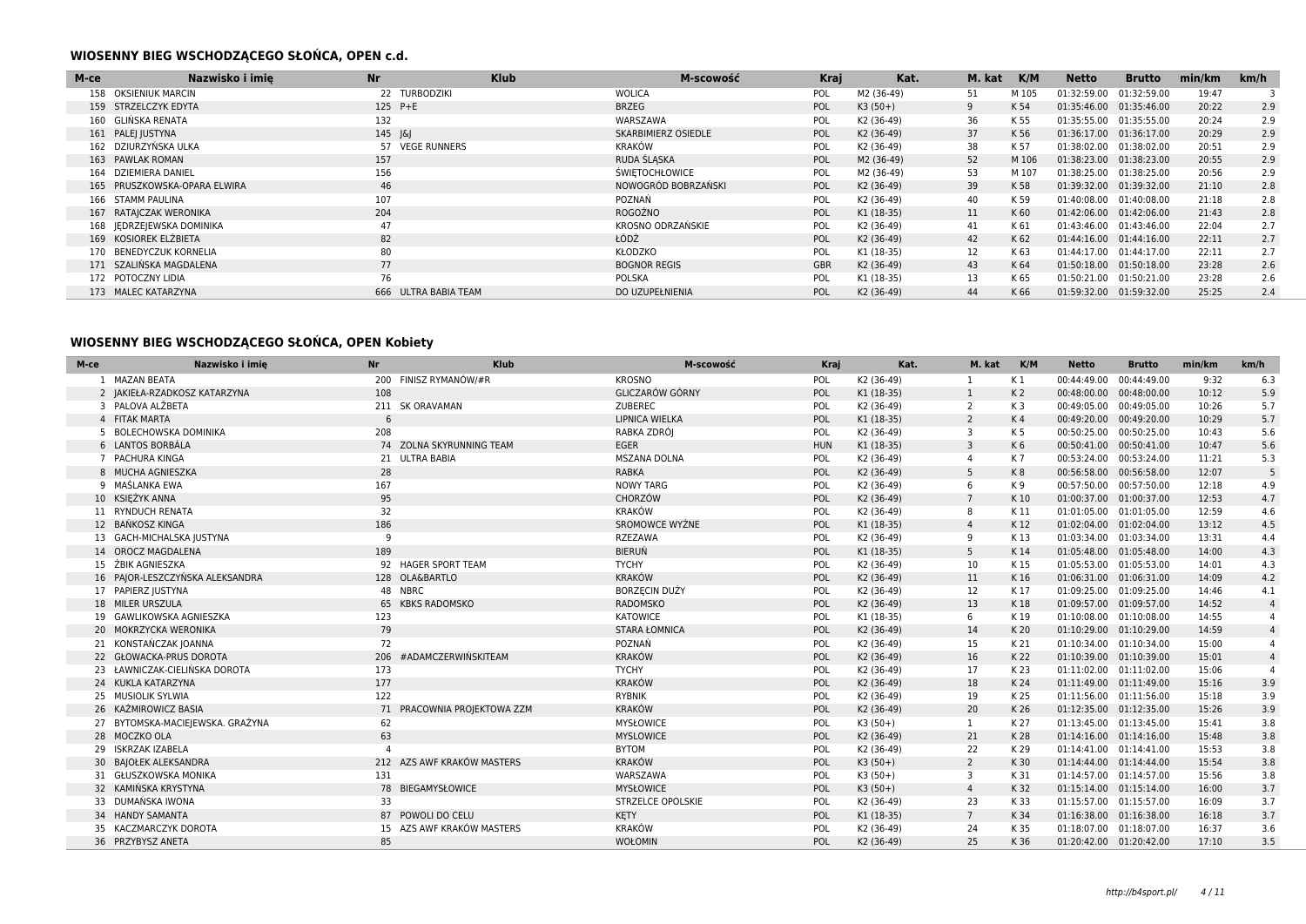### **WIOSENNY BIEG WSCHODZĄCEGO SŁOŃCA, OPEN c.d.**

| M-ce | Nazwisko i imie              | <b>Nr</b>            | <b>Klub</b> | M-scowość             | <b>Kraj</b> | Kat.       | M. kat | K/M   | Netto       | <b>Brutto</b> | min/km | km/h |
|------|------------------------------|----------------------|-------------|-----------------------|-------------|------------|--------|-------|-------------|---------------|--------|------|
|      | 158 OKSIENIUK MARCIN         | 22<br>TURBODZIKI     |             | <b>WOLICA</b>         | POL         | M2 (36-49) | 51     | M 105 | 01:32:59.00 | 01:32:59.00   | 19:47  |      |
|      | 159 STRZELCZYK EDYTA         | 125 P+E              |             | <b>BRZEG</b>          | POL         | $K3(50+)$  | 9      | K 54  | 01:35:46.00 | 01:35:46.00   | 20:22  | 2.9  |
|      | 160 GLIŃSKA RENATA           | 132                  |             | WARSZAWA              | POL         | K2 (36-49) | 36     | K 55  | 01:35:55.00 | 01:35:55.00   | 20:24  | 2.9  |
|      | 161 PALE  JUSTYNA            | $145$ $ \& $         |             | SKARBIMIERZ OSIEDLE   | POL         | K2 (36-49) | 37     | K 56  | 01:36:17.00 | 01:36:17.00   | 20:29  | 2.9  |
|      | 162 DZIURZYŃSKA ULKA         | 57 VEGE RUNNERS      |             | <b>KRAKÓW</b>         | POL         | K2 (36-49) | 38     | K 57  | 01:38:02.00 | 01:38:02.00   | 20:51  | 2.9  |
|      | 163 PAWLAK ROMAN             | 157                  |             | RUDA ŚLASKA           | <b>POL</b>  | M2 (36-49) | 52     | M 106 | 01:38:23.00 | 01:38:23.00   | 20:55  | 2.9  |
|      | 164 DZIEMIERA DANIEL         | 156                  |             | <b>SWIETOCHŁOWICE</b> | POL         | M2 (36-49) | 53     | M 107 | 01:38:25.00 | 01:38:25.00   | 20:56  | 2.9  |
|      | 165 PRUSZKOWSKA-OPARA ELWIRA | 46                   |             | NOWOGRÓD BOBRZAŃSKI   | POL         | K2 (36-49) | 39     | K 58  | 01:39:32.00 | 01:39:32.00   | 21:10  | 2.8  |
|      | 166 STAMM PAULINA            | 107                  |             | POZNAŃ                | POL         | K2 (36-49) | 40     | K 59  | 01:40:08.00 | 01:40:08.00   | 21:18  | 2.8  |
|      | 167 RATAJCZAK WERONIKA       | 204                  |             | ROGOŹNO               | <b>POL</b>  | K1 (18-35) | 11     | K 60  | 01:42:06.00 | 01:42:06.00   | 21:43  | 2.8  |
|      | 168 JEDRZEJEWSKA DOMINIKA    | 47                   |             | KROSNO ODRZAŃSKIE     | POL         | K2 (36-49) | 41     | K 61  | 01:43:46.00 | 01:43:46.00   | 22:04  | 2.7  |
|      | 169 KOSIOREK ELŻBIETA        | 82                   |             | ŁÓDŹ                  | POL         | K2 (36-49) | 42     | K 62  | 01:44:16.00 | 01:44:16.00   | 22:11  | 2.7  |
|      | 170 BENEDYCZUK KORNELIA      | 80                   |             | <b>KŁODZKO</b>        | POL         | K1 (18-35) | 12     | K 63  | 01:44:17.00 | 01:44:17.00   | 22:11  | 2.7  |
|      | 171 SZALIŃSKA MAGDALENA      | 77                   |             | <b>BOGNOR REGIS</b>   | <b>GBR</b>  | K2 (36-49) | 43     | K 64  | 01:50:18.00 | 01:50:18.00   | 23:28  | 2.6  |
|      | 172 POTOCZNY LIDIA           | 76                   |             | <b>POLSKA</b>         | POL         | K1 (18-35) | 13     | K 65  | 01:50:21.00 | 01:50:21.00   | 23:28  | 2.6  |
|      | 173 MALEC KATARZYNA          | 666 ULTRA BABIA TEAM |             | DO UZUPEŁNIENIA       | POL         | K2 (36-49) | 44     | K 66  | 01:59:32.00 | 01:59:32.00   | 25:25  | 2.4  |

## **WIOSENNY BIEG WSCHODZĄCEGO SŁOŃCA, OPEN Kobiety**

| M-ce                 | Nazwisko i imie                  | <b>Nr</b> | <b>Klub</b>                 | M-scowość              | Krai       | Kat.       | M. kat          | K/M            | <b>Netto</b>            | <b>Brutto</b> | min/km | km/h           |
|----------------------|----------------------------------|-----------|-----------------------------|------------------------|------------|------------|-----------------|----------------|-------------------------|---------------|--------|----------------|
| <b>MAZAN BEATA</b>   |                                  |           | 200 FINISZ RYMANÓW/#R       | <b>KROSNO</b>          | POL        | K2 (36-49) |                 | K 1            | 00:44:49.00 00:44:49.00 |               | 9:32   | 6.3            |
|                      | 2 JAKIEŁA-RZADKOSZ KATARZYNA     | 108       |                             | <b>GLICZARÓW GÓRNY</b> | POL        | K1 (18-35) | 1               | K <sub>2</sub> | 00:48:00.00 00:48:00.00 |               | 10:12  | 5.9            |
| 3 PALOVA ALŽBETA     |                                  |           | 211 SK ORAVAMAN             | ZUBEREC                | POL        | K2 (36-49) | 2               | K <sub>3</sub> | 00:49:05.00 00:49:05.00 |               | 10:26  | 5.7            |
| 4 FITAK MARTA        |                                  | 6         |                             | LIPNICA WIELKA         | POL        | K1 (18-35) | $\overline{2}$  | K 4            | 00:49:20.00 00:49:20.00 |               | 10:29  | 5.7            |
|                      | 5 BOLECHOWSKA DOMINIKA           | 208       |                             | RABKA ZDRÓJ            | POL        | K2 (36-49) | 3               | K 5            | 00:50:25.00 00:50:25.00 |               | 10:43  | 5.6            |
| 6 LANTOS BORBÁLA     |                                  |           | 74 ZOLNA SKYRUNNING TEAM    | <b>EGER</b>            | <b>HUN</b> | K1 (18-35) | $\overline{3}$  | K <sub>6</sub> | 00:50:41.00 00:50:41.00 |               | 10:47  | 5.6            |
| 7 PACHURA KINGA      |                                  |           | 21 ULTRA BABIA              | <b>MSZANA DOLNA</b>    | POL        | K2 (36-49) | $\overline{a}$  | K 7            | 00:53:24.00 00:53:24.00 |               | 11:21  | 5.3            |
| 8 MUCHA AGNIESZKA    |                                  | 28        |                             | <b>RABKA</b>           | POL        | K2 (36-49) | 5               | K8             | 00:56:58.00 00:56:58.00 |               | 12:07  | 5              |
| 9 MAŚLANKA EWA       |                                  | 167       |                             | <b>NOWY TARG</b>       | POL        | K2 (36-49) | 6               | K 9            | 00:57:50.00 00:57:50.00 |               | 12:18  | 4.9            |
| 10 KSIĘŻYK ANNA      |                                  | 95        |                             | CHORZÓW                | POL        | K2 (36-49) | $7\overline{ }$ | K 10           | 01:00:37.00 01:00:37.00 |               | 12:53  | 4.7            |
| 11 RYNDUCH RENATA    |                                  | 32        |                             | KRAKÓW                 | POL        | K2 (36-49) | 8               | K 11           | 01:01:05.00 01:01:05.00 |               | 12:59  | 4.6            |
| 12 BAŃKOSZ KINGA     |                                  | 186       |                             | <b>SROMOWCE WYŻNE</b>  | POL        | K1 (18-35) | $\overline{4}$  | K 12           | 01:02:04.00 01:02:04.00 |               | 13:12  | 4.5            |
|                      | 13 GACH-MICHALSKA JUSTYNA        | q         |                             | RZEZAWA                | POL        | K2 (36-49) | 9               | K13            | 01:03:34.00 01:03:34.00 |               | 13:31  | 4.4            |
| 14 OROCZ MAGDALENA   |                                  | 189       |                             | <b>BIERUŃ</b>          | POL        | K1 (18-35) | 5               | K 14           | 01:05:48.00 01:05:48.00 |               | 14:00  | 4.3            |
| 15 ŻBIK AGNIESZKA    |                                  |           | 92 HAGER SPORT TEAM         | <b>TYCHY</b>           | POL        | K2 (36-49) | 10              | K 15           | 01:05:53.00 01:05:53.00 |               | 14:01  | 4.3            |
|                      | 16 PAJOR-LESZCZYŃSKA ALEKSANDRA  |           | 128 OLA&BARTLO              | <b>KRAKÓW</b>          | POL        | K2 (36-49) | 11              | K 16           | 01:06:31.00 01:06:31.00 |               | 14:09  | 4.2            |
| 17 PAPIERZ JUSTYNA   |                                  |           | 48 NBRC                     | <b>BORZECIN DUŻY</b>   | POL        | K2 (36-49) | 12              | K 17           | 01:09:25.00 01:09:25.00 |               | 14:46  | 4.1            |
| 18 MILER URSZULA     |                                  |           | 65 KBKS RADOMSKO            | RADOMSKO               | POL        | K2 (36-49) | 13              | K 18           | 01:09:57.00 01:09:57.00 |               | 14:52  | $\overline{4}$ |
|                      | 19 GAWLIKOWSKA AGNIESZKA         | 123       |                             | KATOWICE               | POL        | K1 (18-35) | 6               | K 19           | 01:10:08.00 01:10:08.00 |               | 14:55  |                |
|                      | 20 MOKRZYCKA WERONIKA            | 79        |                             | <b>STARA ŁOMNICA</b>   | POL        | K2 (36-49) | 14              | K 20           | 01:10:29.00 01:10:29.00 |               | 14:59  | $\overline{4}$ |
|                      | 21 KONSTAŃCZAK JOANNA            | 72        |                             | POZNAŃ                 | POL        | K2 (36-49) | 15              | K 21           | 01:10:34.00 01:10:34.00 |               | 15:00  | $\overline{4}$ |
|                      | 22 GŁOWACKA-PRUS DOROTA          | 206       | #ADAMCZERWIŃSKITEAM         | <b>KRAKÓW</b>          | POL        | K2 (36-49) | 16              | K 22           | 01:10:39.00 01:10:39.00 |               | 15:01  | $\overline{4}$ |
|                      | 23 ŁAWNICZAK-CIELIŃSKA DOROTA    | 173       |                             | <b>TYCHY</b>           | POL        | K2 (36-49) | 17              | K 23           | 01:11:02.00 01:11:02.00 |               | 15:06  |                |
| 24 KUKLA KATARZYNA   |                                  | 177       |                             | <b>KRAKÓW</b>          | POL        | K2 (36-49) | 18              | K 24           | 01:11:49.00 01:11:49.00 |               | 15:16  | 3.9            |
| 25 MUSIOLIK SYLWIA   |                                  | 122       |                             | <b>RYBNIK</b>          | POL        | K2 (36-49) | 19              | K 25           | 01:11:56.00 01:11:56.00 |               | 15:18  | 3.9            |
| 26 KAŹMIROWICZ BASIA |                                  |           | 71 PRACOWNIA PROJEKTOWA ZZM | <b>KRAKÓW</b>          | POL        | K2 (36-49) | 20              | K 26           | 01:12:35.00 01:12:35.00 |               | 15:26  | 3.9            |
|                      | 27 BYTOMSKA-MACIEJEWSKA. GRAŻYNA | 62        |                             | <b>MYSŁOWICE</b>       | POL        | $K3(50+)$  |                 | K 27           | 01:13:45.00 01:13:45.00 |               | 15:41  | 3.8            |
| 28 MOCZKO OLA        |                                  | 63        |                             | <b>MYSLOWICE</b>       | POL        | K2 (36-49) | 21              | K 28           | 01:14:16.00 01:14:16.00 |               | 15:48  | 3.8            |
| 29 ISKRZAK IZABELA   |                                  |           |                             | <b>BYTOM</b>           | POL        | K2 (36-49) | 22              | K 29           | 01:14:41.00 01:14:41.00 |               | 15:53  | 3.8            |
|                      | 30 BAJOŁEK ALEKSANDRA            |           | 212 AZS AWF KRAKÓW MASTERS  | <b>KRAKÓW</b>          | POL        | $K3(50+)$  | $\overline{2}$  | K 30           | 01:14:44.00 01:14:44.00 |               | 15:54  | 3.8            |
|                      | 31 GŁUSZKOWSKA MONIKA            | 131       |                             | WARSZAWA               | POL        | $K3(50+)$  | 3               | K 31           | 01:14:57.00 01:14:57.00 |               | 15:56  | 3.8            |
|                      | 32 KAMIŃSKA KRYSTYNA             |           | 78 BIEGAMYSŁOWICE           | <b>MYSŁOWICE</b>       | POL        | $K3(50+)$  | $\overline{4}$  | K 32           | 01:15:14.00 01:15:14.00 |               | 16:00  | 3.7            |
| 33 DUMAŃSKA IWONA    |                                  | 33        |                             | STRZELCE OPOLSKIE      | POL        | K2 (36-49) | 23              | K 33           | 01:15:57.00 01:15:57.00 |               | 16:09  | 3.7            |
| 34 HANDY SAMANTA     |                                  |           | 87 POWOLI DO CELU           | KETY                   | POL        | K1 (18-35) | $\overline{7}$  | K 34           | 01:16:38.00 01:16:38.00 |               | 16:18  | 3.7            |
|                      | 35 KACZMARCZYK DOROTA            |           | 15 AZS AWF KRAKÓW MASTERS   | <b>KRAKÓW</b>          | POL        | K2 (36-49) | 24              | K 35           | 01:18:07.00 01:18:07.00 |               | 16:37  | 3.6            |
| 36 PRZYBYSZ ANETA    |                                  | 85        |                             | WOŁOMIN                | POL        | K2 (36-49) | 25              | K 36           | 01:20:42.00 01:20:42.00 |               | 17:10  | 3.5            |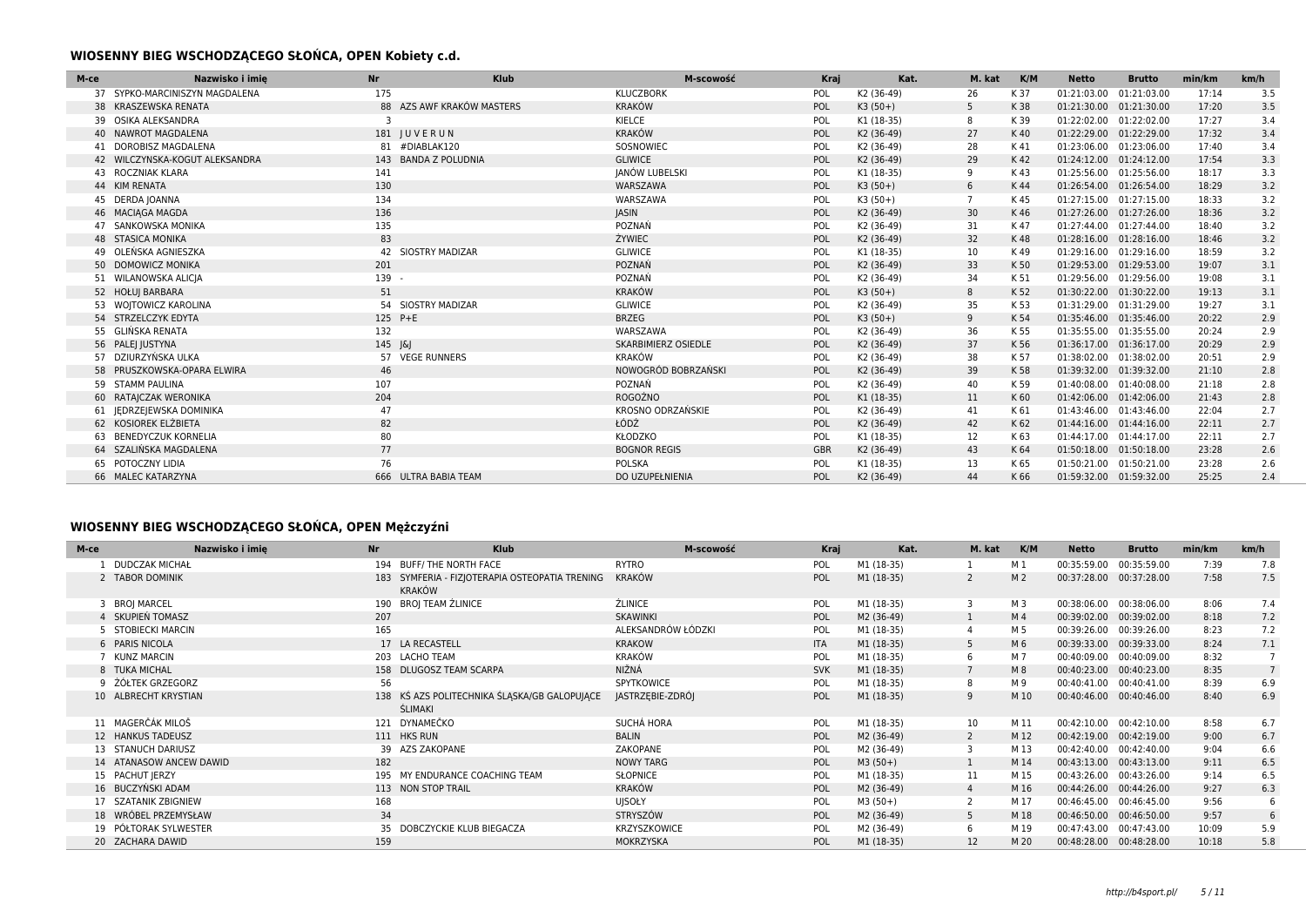### **WIOSENNY BIEG WSCHODZĄCEGO SŁOŃCA, OPEN Kobiety c.d.**

| M-ce | Nazwisko i imie                | <b>Nr</b>    | <b>Klub</b>               | M-scowość                  | Kraj       | Kat.       | M. kat         | K/M  | <b>Netto</b>            | <b>Brutto</b> | min/km | km/h |
|------|--------------------------------|--------------|---------------------------|----------------------------|------------|------------|----------------|------|-------------------------|---------------|--------|------|
| 37   | SYPKO-MARCINISZYN MAGDALENA    | 175          |                           | <b>KLUCZBORK</b>           | POL        | K2 (36-49) | 26             | K 37 | 01:21:03.00             | 01:21:03.00   | 17:14  | 3.5  |
|      | 38 KRASZEWSKA RENATA           |              | 88 AZS AWF KRAKÓW MASTERS | <b>KRAKÓW</b>              | POL        | $K3(50+)$  | 5              | K 38 | 01:21:30.00             | 01:21:30.00   | 17:20  | 3.5  |
|      | 39 OSIKA ALEKSANDRA            |              |                           | KIELCE                     | POL        | K1 (18-35) | 8              | K 39 | 01:22:02.00 01:22:02.00 |               | 17:27  | 3.4  |
|      | 40 NAWROT MAGDALENA            |              | 181 JUVERUN               | <b>KRAKÓW</b>              | POL        | K2 (36-49) | 27             | K 40 | 01:22:29.00 01:22:29.00 |               | 17:32  | 3.4  |
|      | 41 DOROBISZ MAGDALENA          |              | 81 #DIABLAK120            | SOSNOWIEC                  | POL        | K2 (36-49) | 28             | K 41 | 01:23:06.00             | 01:23:06.00   | 17:40  | 3.4  |
|      | 42 WILCZYNSKA-KOGUT ALEKSANDRA |              | 143 BANDA Z POLUDNIA      | <b>GLIWICE</b>             | POL        | K2 (36-49) | 29             | K 42 | 01:24:12.00 01:24:12.00 |               | 17:54  | 3.3  |
|      | 43 ROCZNIAK KLARA              | 141          |                           | JANÓW LUBELSKI             | POL        | K1 (18-35) | 9              | K43  | 01:25:56.00             | 01:25:56.00   | 18:17  | 3.3  |
|      | 44 KIM RENATA                  | 130          |                           | WARSZAWA                   | POL        | $K3(50+)$  | 6              | K 44 | 01:26:54.00 01:26:54.00 |               | 18:29  | 3.2  |
|      | 45 DERDA JOANNA                | 134          |                           | WARSZAWA                   | POL        | $K3(50+)$  | $\overline{7}$ | K 45 | 01:27:15.00 01:27:15.00 |               | 18:33  | 3.2  |
|      | 46 MACIAGA MAGDA               | 136          |                           | <b>JASIN</b>               | POL        | K2 (36-49) | 30             | K 46 | 01:27:26.00 01:27:26.00 |               | 18:36  | 3.2  |
|      | 47 SANKOWSKA MONIKA            | 135          |                           | POZNAŃ                     | POL        | K2 (36-49) | 31             | K 47 | 01:27:44.00 01:27:44.00 |               | 18:40  | 3.2  |
|      | <b>48 STASICA MONIKA</b>       | 83           |                           | ŻYWIEC                     | POL        | K2 (36-49) | 32             | K 48 | 01:28:16.00 01:28:16.00 |               | 18:46  | 3.2  |
|      | 49 OLEŃSKA AGNIESZKA           |              | 42 SIOSTRY MADIZAR        | <b>GLIWICE</b>             | POL        | K1 (18-35) | 10             | K 49 | 01:29:16.00 01:29:16.00 |               | 18:59  | 3.2  |
|      | 50 DOMOWICZ MONIKA             | 201          |                           | POZNAŃ                     | POL        | K2 (36-49) | 33             | K 50 | 01:29:53.00 01:29:53.00 |               | 19:07  | 3.1  |
|      | 51 WILANOWSKA ALICIA           | 139 -        |                           | POZNAŃ                     | POL        | K2 (36-49) | 34             | K 51 | 01:29:56.00             | 01:29:56.00   | 19:08  | 3.1  |
|      | 52 HOŁUJ BARBARA               | 51           |                           | <b>KRAKÓW</b>              | POL        | $K3(50+)$  | 8              | K 52 | 01:30:22.00 01:30:22.00 |               | 19:13  | 3.1  |
|      | 53 WOJTOWICZ KAROLINA          |              | 54 SIOSTRY MADIZAR        | <b>GLIWICE</b>             | POL        | K2 (36-49) | 35             | K 53 | 01:31:29.00 01:31:29.00 |               | 19:27  | 3.1  |
|      | 54 STRZELCZYK EDYTA            | 125 P+E      |                           | <b>BRZEG</b>               | POL        | $K3(50+)$  | 9              | K 54 | 01:35:46.00 01:35:46.00 |               | 20:22  | 2.9  |
|      | 55 GLIŃSKA RENATA              | 132          |                           | WARSZAWA                   | POL        | K2 (36-49) | 36             | K 55 | 01:35:55.00 01:35:55.00 |               | 20:24  | 2.9  |
|      | 56 PALEJ JUSTYNA               | $145$ $ \& $ |                           | <b>SKARBIMIERZ OSIEDLE</b> | POL        | K2 (36-49) | 37             | K 56 | 01:36:17.00 01:36:17.00 |               | 20:29  | 2.9  |
|      | 57 DZIURZYŃSKA ULKA            |              | 57 VEGE RUNNERS           | <b>KRAKÓW</b>              | POL        | K2 (36-49) | 38             | K 57 | 01:38:02.00             | 01:38:02.00   | 20:51  | 2.9  |
|      | 58 PRUSZKOWSKA-OPARA ELWIRA    | 46           |                           | NOWOGRÓD BOBRZAŃSKI        | POL        | K2 (36-49) | 39             | K 58 | 01:39:32.00 01:39:32.00 |               | 21:10  | 2.8  |
|      | 59 STAMM PAULINA               | 107          |                           | POZNAŃ                     | POL        | K2 (36-49) | 40             | K 59 | 01:40:08.00 01:40:08.00 |               | 21:18  | 2.8  |
|      | RATAICZAK WERONIKA             | 204          |                           | <b>ROGOŹNO</b>             | POL        | K1 (18-35) | 11             | K 60 | 01:42:06.00 01:42:06.00 |               | 21:43  | 2.8  |
|      | 61   EDRZEJEWSKA DOMINIKA      | 47           |                           | KROSNO ODRZAŃSKIE          | POL        | K2 (36-49) | 41             | K 61 | 01:43:46.00 01:43:46.00 |               | 22:04  | 2.7  |
|      | 62 KOSIOREK ELŻBIETA           | 82           |                           | ŁÓDŹ                       | POL        | K2 (36-49) | 42             | K 62 | 01:44:16.00 01:44:16.00 |               | 22:11  | 2.7  |
|      | <b>BENEDYCZUK KORNELIA</b>     | 80           |                           | KŁODZKO                    | POL        | K1 (18-35) | 12             | K 63 | 01:44:17.00 01:44:17.00 |               | 22:11  | 2.7  |
|      | 64 SZALIŃSKA MAGDALENA         | 77           |                           | <b>BOGNOR REGIS</b>        | <b>GBR</b> | K2 (36-49) | 43             | K 64 | 01:50:18.00 01:50:18.00 |               | 23:28  | 2.6  |
|      | 65 POTOCZNY LIDIA              | 76           |                           | POLSKA                     | POL        | K1 (18-35) | 13             | K 65 | 01:50:21.00             | 01:50:21.00   | 23:28  | 2.6  |
|      | 66 MALEC KATARZYNA             |              | 666 ULTRA BABIA TEAM      | DO UZUPEŁNIENIA            | POL        | K2 (36-49) | 44             | K 66 | 01:59:32.00 01:59:32.00 |               | 25:25  | 2.4  |

## **WIOSENNY BIEG WSCHODZĄCEGO SŁOŃCA, OPEN Mężczyźni**

| M-ce | Nazwisko i imie         | <b>Nr</b> | <b>Klub</b>                                                     | M-scowość          | Kraj       | Kat.       | M. kat         | K/M            | <b>Netto</b>            | <b>Brutto</b> | min/km | km/h            |
|------|-------------------------|-----------|-----------------------------------------------------------------|--------------------|------------|------------|----------------|----------------|-------------------------|---------------|--------|-----------------|
|      | L DUDCZAK MICHAŁ        |           | 194 BUFF/THE NORTH FACE                                         | RYTRO              | POL        | M1 (18-35) |                | M 1            | 00:35:59.00             | 00:35:59.00   | 7:39   | 7.8             |
|      | 2 TABOR DOMINIK         |           | 183 SYMFERIA - FIZJOTERAPIA OSTEOPATIA TRENING<br><b>KRAKÓW</b> | KRAKÓW             | POL        | M1 (18-35) |                | M <sub>2</sub> | 00:37:28.00             | 00:37:28.00   | 7:58   | 7.5             |
|      | 3 BROJ MARCEL           |           | 190 BROJ TEAM ŹLINICE                                           | <b>ŹLINICE</b>     | POL        | M1 (18-35) | 3              | M 3            | 00:38:06.00 00:38:06.00 |               | 8:06   | 7.4             |
|      | 4 SKUPIEŃ TOMASZ        | 207       |                                                                 | SKAWINKI           | POL        | M2 (36-49) |                | M <sub>4</sub> | 00:39:02.00             | 00:39:02.00   | 8:18   | 7.2             |
|      | 5 STOBIECKI MARCIN      | 165       |                                                                 | ALEKSANDRÓW ŁÓDZKI | POL        | M1 (18-35) |                | M 5            | 00:39:26.00             | 00:39:26.00   | 8:23   | 7.2             |
|      | 6 PARIS NICOLA          |           | 17 LA RECASTELL                                                 | <b>KRAKOW</b>      | <b>ITA</b> | M1 (18-35) | 5              | M 6            | 00:39:33.00             | 00:39:33.00   | 8:24   | 7.1             |
|      | KUNZ MARCIN             |           | 203 LACHO TEAM                                                  | KRAKÓW             | POL        | M1 (18-35) | 6              | M 7            | 00:40:09.00             | 00:40:09.00   | 8:32   |                 |
|      | 8 TUKA MICHAL           |           | 158 DLUGOSZ TEAM SCARPA                                         | NIŽNÁ              | <b>SVK</b> | M1 (18-35) |                | M 8            | 00:40:23.00             | 00:40:23.00   | 8:35   | $7\overline{ }$ |
|      | 9 ŻÓŁTEK GRZEGORZ       | 56        |                                                                 | <b>SPYTKOWICE</b>  | POL        | M1 (18-35) | 8              | M 9            | 00:40:41.00             | 00:40:41.00   | 8:39   | 6.9             |
|      | 10 ALBRECHT KRYSTIAN    |           | 138 KŚ AZS POLITECHNIKA ŚLĄSKA/GB GALOPUJĄCE<br>ŚLIMAKI         | JASTRZĘBIE-ZDRÓJ   | POL        | M1 (18-35) | 9              | M 10           | 00:40:46.00 00:40:46.00 |               | 8:40   | 6.9             |
|      | 11 MAGERČÁK MILOŠ       |           | 121 DYNAMEČKO                                                   | SUCHÁ HORA         | POL        | M1 (18-35) | 10             | M 11           | 00:42:10.00 00:42:10.00 |               | 8:58   | 6.7             |
|      | 12 HANKUS TADEUSZ       |           | 111 HKS RUN                                                     | <b>BALIN</b>       | POL        | M2 (36-49) | $\overline{2}$ | M 12           | 00:42:19.00             | 00:42:19.00   | 9:00   | 6.7             |
|      | 13 STANUCH DARIUSZ      |           | 39 AZS ZAKOPANE                                                 | ZAKOPANE           | POL        | M2 (36-49) |                | M 13           | 00:42:40.00             | 00:42:40.00   | 9:04   | 6.6             |
|      | 14 ATANASOW ANCEW DAWID | 182       |                                                                 | <b>NOWY TARG</b>   | POL        | $M3(50+)$  |                | M 14           | 00:43:13.00 00:43:13.00 |               | 9:11   | 6.5             |
|      | 15 PACHUT JERZY         |           | 195 MY ENDURANCE COACHING TEAM                                  | SŁOPNICE           | POL        | M1 (18-35) | 11             | M 15           | 00:43:26.00             | 00:43:26.00   | 9:14   | 6.5             |
|      | 16 BUCZYŃSKI ADAM       |           | 113 NON STOP TRAIL                                              | KRAKÓW             | POL        | M2 (36-49) | $\overline{4}$ | M 16           | 00:44:26.00 00:44:26.00 |               | 9:27   | 6.3             |
|      | 17 SZATANIK ZBIGNIEW    | 168       |                                                                 | <b>UJSOŁY</b>      | POL        | $M3(50+)$  |                | M 17           | 00:46:45.00             | 00:46:45.00   | 9:56   | 6               |
|      | 18 WRÓBEL PRZEMYSŁAW    | 34        |                                                                 | STRYSZÓW           | POL        | M2 (36-49) | 5              | M 18           | 00:46:50.00             | 00:46:50.00   | 9:57   | 6               |
|      | 19 PÓŁTORAK SYLWESTER   |           | 35 DOBCZYCKIE KLUB BIEGACZA                                     | KRZYSZKOWICE       | POL        | M2 (36-49) |                | M 19           | 00:47:43.00             | 00:47:43.00   | 10:09  | 5.9             |
|      | 20 ZACHARA DAWID        | 159       |                                                                 | MOKRZYSKA          | POL        | M1 (18-35) | 12             | M 20           | 00:48:28.00             | 00:48:28.00   | 10:18  | 5.8             |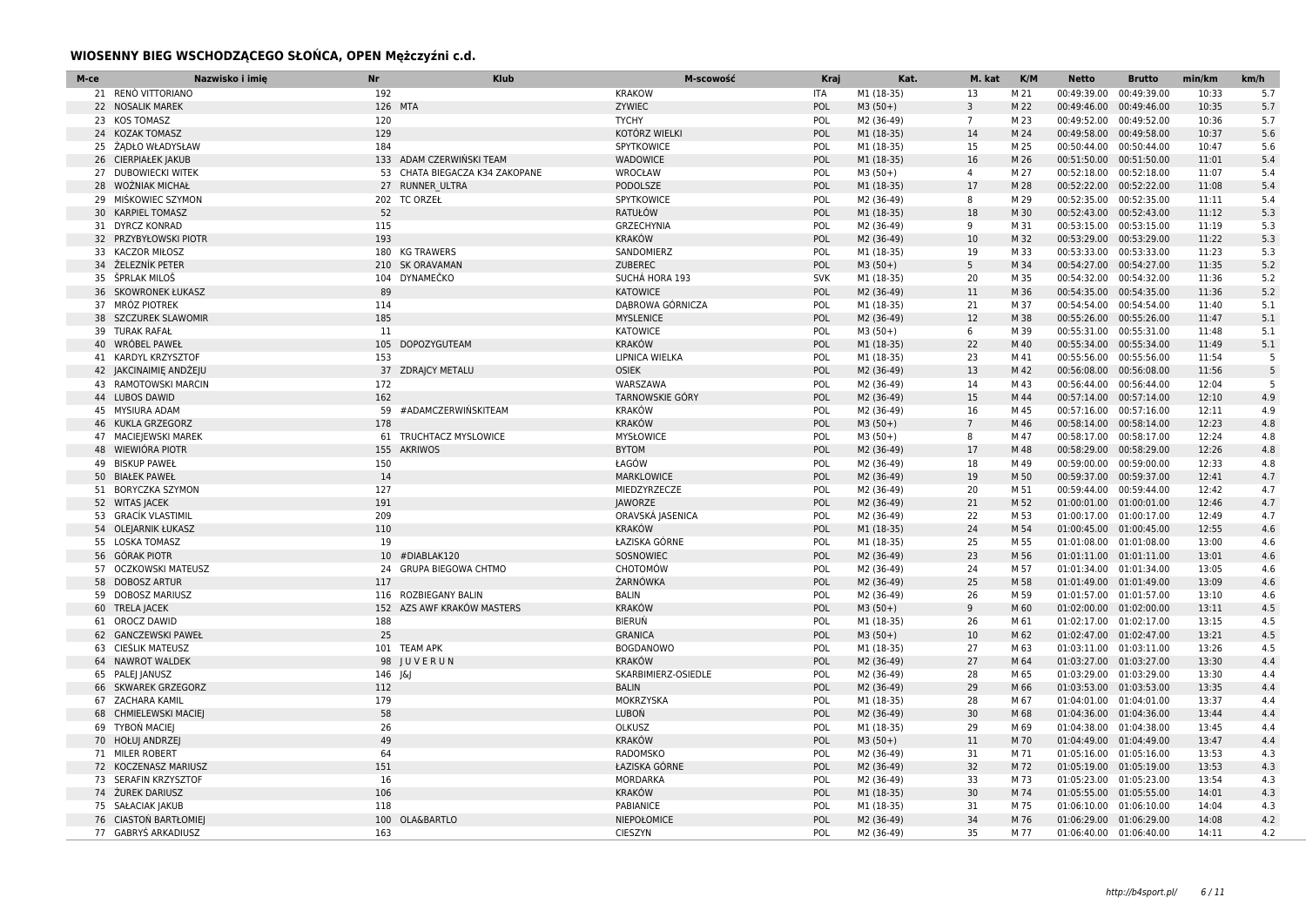### **WIOSENNY BIEG WSCHODZĄCEGO SŁOŃCA, OPEN Mężczyźni c.d.**

| M-ce | Nazwisko i imie<br><b>Nr</b>      | <b>Klub</b>                    | M-scowość           | Kraj       | Kat.       | M. kat         | K/M  | <b>Netto</b>             | <b>Brutto</b> | min/km | km/h |
|------|-----------------------------------|--------------------------------|---------------------|------------|------------|----------------|------|--------------------------|---------------|--------|------|
|      | 21 RENÒ VITTORIANO<br>192         |                                | <b>KRAKOW</b>       | ITA        | M1 (18-35) | 13             | M 21 | 00:49:39.00              | 00:49:39.00   | 10:33  | 5.7  |
|      | 22 NOSALIK MAREK                  | 126 MTA                        | ZYWIEC              | POL        | $M3(50+)$  | $\overline{3}$ | M 22 | 00:49:46.00              | 00:49:46.00   | 10:35  | 5.7  |
|      | 23 KOS TOMASZ<br>120              |                                | <b>TYCHY</b>        | POL        | M2 (36-49) | $\overline{7}$ | M 23 | 00:49:52.00 00:49:52.00  |               | 10:36  | 5.7  |
|      | 24 KOZAK TOMASZ<br>129            |                                | KOTÓRZ WIELKI       | POL        | M1 (18-35) | 14             | M 24 | 00:49:58.00 00:49:58.00  |               | 10:37  | 5.6  |
|      | 25 ŻADŁO WŁADYSŁAW<br>184         |                                | SPYTKOWICE          | POL        | M1 (18-35) | 15             | M 25 | 00:50:44.00 00:50:44.00  |               | 10:47  | 5.6  |
|      | 26 CIERPIAŁEK JAKUB               | 133 ADAM CZERWIŃSKI TEAM       | <b>WADOWICE</b>     | POL        | M1 (18-35) | 16             | M 26 | 00:51:50.00 00:51:50.00  |               | 11:01  | 5.4  |
|      | 27 DUBOWIECKI WITEK               | 53 CHATA BIEGACZA K34 ZAKOPANE | WROCŁAW             | POL        | $M3(50+)$  | $\overline{4}$ | M 27 | 00:52:18.00 00:52:18.00  |               | 11:07  | 5.4  |
|      | 28 WOŻNIAK MICHAŁ                 | 27 RUNNER ULTRA                | PODOLSZE            | POL        | M1 (18-35) | 17             | M 28 | 00:52:22.00 00:52:22.00  |               | 11:08  | 5.4  |
|      | 29 MIŚKOWIEC SZYMON               | 202 TC ORZEŁ                   | SPYTKOWICE          | POL        | M2 (36-49) | 8              | M 29 | 00:52:35.00 00:52:35.00  |               | 11:11  | 5.4  |
|      | 52<br>30 KARPIEL TOMASZ           |                                | RATUŁÓW             | POL        | M1 (18-35) | 18             | M 30 | 00:52:43.00 00:52:43.00  |               | 11:12  | 5.3  |
|      | 115<br>31 DYRCZ KONRAD            |                                | GRZECHYNIA          | POL        | M2 (36-49) | 9              | M 31 | 00:53:15.00 00:53:15.00  |               | 11:19  | 5.3  |
|      | 193<br>32 PRZYBYŁOWSKI PIOTR      |                                | <b>KRAKÓW</b>       | POL        | M2 (36-49) | 10             | M 32 | 00:53:29.00 00:53:29.00  |               | 11:22  | 5.3  |
|      | 33 KACZOR MIŁOSZ<br>180           | <b>KG TRAWERS</b>              | SANDOMIERZ          | POL        | M1 (18-35) | 19             | M 33 | 00:53:33.00 00:53:33.00  |               | 11:23  | 5.3  |
|      | 34 ŽELEZNÍK PETER                 | 210 SK ORAVAMAN                | ZUBEREC             | POL        | $M3(50+)$  | 5 <sup>5</sup> | M 34 | 00:54:27.00 00:54:27.00  |               | 11:35  | 5.2  |
|      | 35 ŠPRLAK MILOŠ                   | 104 DYNAMEČKO                  | SUCHÁ HORA 193      | <b>SVK</b> | M1 (18-35) | 20             | M 35 | 00:54:32.00 00:54:32.00  |               | 11:36  | 5.2  |
|      | 36 SKOWRONEK ŁUKASZ<br>89         |                                | <b>KATOWICE</b>     | POL        | M2 (36-49) | 11             | M 36 | 00:54:35.00 00:54:35.00  |               | 11:36  | 5.2  |
|      | 37 MRÓZ PIOTREK<br>114            |                                | DABROWA GÓRNICZA    | POL        | M1 (18-35) | 21             | M 37 | 00:54:54.00 00:54:54.00  |               | 11:40  | 5.1  |
|      | 185<br>38 SZCZUREK SLAWOMIR       |                                | <b>MYSLENICE</b>    | POL        | M2 (36-49) | 12             | M 38 | 00:55:26.00 00:55:26.00  |               | 11:47  | 5.1  |
|      | 39 TURAK RAFAŁ<br>11              |                                | <b>KATOWICE</b>     | POL        | $M3(50+)$  | 6              | M 39 | 00:55:31.00 00:55:31.00  |               | 11:48  | 5.1  |
|      | 40 WRÓBEL PAWEŁ<br>105            | <b>DOPOZYGUTEAM</b>            | <b>KRAKÓW</b>       | POL        | M1 (18-35) | 22             | M 40 | 00:55:34.00 00:55:34.00  |               | 11:49  | 5.1  |
|      | 41 KARDYL KRZYSZTOF<br>153        |                                | LIPNICA WIELKA      | POL        | M1 (18-35) | 23             | M 41 | 00:55:56.00 00:55:56.00  |               | 11:54  | 5    |
|      | 42 JAKCINAIMIĘ ANDŻEJU            | 37 ZDRAJCY METALU              | <b>OSIEK</b>        | POL        | M2 (36-49) | 13             | M 42 | 00:56:08.00 00:56:08.00  |               | 11:56  | 5    |
|      | 43 RAMOTOWSKI MARCIN<br>172       |                                | WARSZAWA            | POL        | M2 (36-49) | 14             | M 43 | 00:56:44.00 00:56:44.00  |               | 12:04  | 5    |
|      | 162<br>44 LUBOS DAWID             |                                | TARNOWSKIE GÓRY     | POL        | M2 (36-49) | 15             | M 44 | 00:57:14.00 00:57:14.00  |               | 12:10  | 4.9  |
|      | 45 MYSIURA ADAM<br>59             | #ADAMCZERWIŃSKITEAM            | <b>KRAKÓW</b>       | POL        | M2 (36-49) | 16             | M 45 | 00:57:16.00 00:57:16.00  |               | 12:11  | 4.9  |
|      | 46 KUKLA GRZEGORZ<br>178          |                                | <b>KRAKÓW</b>       | POL        | $M3(50+)$  | $\overline{7}$ | M 46 | 00:58:14.00 00:58:14.00  |               | 12:23  | 4.8  |
|      | 47 MACIEJEWSKI MAREK<br>61        | TRUCHTACZ MYSLOWICE            | MYSŁOWICE           | POL        | $M3(50+)$  | 8              | M 47 | 00:58:17.00 00:58:17.00  |               | 12:24  | 4.8  |
|      | 48 WIEWIÓRA PIOTR<br>155          | <b>AKRIWOS</b>                 | <b>BYTOM</b>        | POL        | M2 (36-49) | 17             | M 48 | 00:58:29.00 00:58:29.00  |               | 12:26  | 4.8  |
|      | 49 BISKUP PAWEŁ<br>150            |                                | ŁAGÓW               | POL        | M2 (36-49) | 18             | M 49 | 00:59:00.00 00:59:00.00  |               | 12:33  | 4.8  |
|      | 50 BIAŁEK PAWEŁ<br>14             |                                | MARKLOWICE          | POL        | M2 (36-49) | 19             | M 50 | 00:59:37.00 00:59:37.00  |               | 12:41  | 4.7  |
|      | 127<br>51 BORYCZKA SZYMON         |                                | MIEDZYRZECZE        | POL        | M2 (36-49) | 20             | M 51 | 00:59:44.00 00:59:44.00  |               | 12:42  | 4.7  |
|      | 52 WITAS JACEK<br>191             |                                | <b>JAWORZE</b>      | POL        | M2 (36-49) | 21             | M 52 | 01:00:01.00  01:00:01.00 |               | 12:46  | 4.7  |
|      | 53 GRACÍK VLASTIMIL<br>209        |                                | ORAVSKÁ JASENICA    | POL        | M2 (36-49) | 22             | M 53 | 01:00:17.00 01:00:17.00  |               | 12:49  | 4.7  |
|      | 110<br>54 OLEJARNIK ŁUKASZ        |                                | <b>KRAKÓW</b>       | POL        | M1 (18-35) | 24             | M 54 | 01:00:45.00 01:00:45.00  |               | 12:55  | 4.6  |
|      | 55 LOSKA TOMASZ<br>19             |                                | ŁAZISKA GÓRNE       | POL        | M1 (18-35) | 25             | M 55 | 01:01:08.00 01:01:08.00  |               | 13:00  | 4.6  |
|      | 56 GÓRAK PIOTR<br>10 <sup>°</sup> | #DIABLAK120                    | SOSNOWIEC           | POL        | M2 (36-49) | 23             | M 56 | 01:01:11.00 01:01:11.00  |               | 13:01  | 4.6  |
|      | 57 OCZKOWSKI MATEUSZ<br>24        | <b>GRUPA BIEGOWA CHTMO</b>     | CHOTOMÓW            | POL        | M2 (36-49) | 24             | M 57 | 01:01:34.00  01:01:34.00 |               | 13:05  | 4.6  |
|      | 58 DOBOSZ ARTUR<br>117            |                                | ŻARNÓWKA            | POL        | M2 (36-49) | 25             | M 58 | 01:01:49.00 01:01:49.00  |               | 13:09  | 4.6  |
|      | 59 DOBOSZ MARIUSZ                 | 116 ROZBIEGANY BALIN           | <b>BALIN</b>        | POL        | M2 (36-49) | 26             | M 59 | 01:01:57.00 01:01:57.00  |               | 13:10  | 4.6  |
|      | 60 TRELA JACEK                    | 152 AZS AWF KRAKÓW MASTERS     | <b>KRAKÓW</b>       | POL        | $M3(50+)$  | 9              | M 60 | 01:02:00.00 01:02:00.00  |               | 13:11  | 4.5  |
|      | 188<br>61 OROCZ DAWID             |                                | <b>BIERUŃ</b>       | POL        | M1 (18-35) | 26             | M 61 | 01:02:17.00 01:02:17.00  |               | 13:15  | 4.5  |
|      | 25<br>62 GANCZEWSKI PAWEŁ         |                                | <b>GRANICA</b>      | POL        | $M3(50+)$  | 10             | M 62 | 01:02:47.00 01:02:47.00  |               | 13:21  | 4.5  |
|      | 63 CIEŚLIK MATEUSZ                | 101 TEAM APK                   | <b>BOGDANOWO</b>    | POL        | M1 (18-35) | 27             | M 63 | 01:03:11.00 01:03:11.00  |               | 13:26  | 4.5  |
|      | 64 NAWROT WALDEK                  | 98 JUVERUN                     | <b>KRAKÓW</b>       | POL        | M2 (36-49) | 27             | M 64 | 01:03:27.00 01:03:27.00  |               | 13:30  | 4.4  |
|      | 65 PALEJ JANUSZ<br>146            | ାଧ                             | SKARBIMIERZ-OSIEDLE | POL        | M2 (36-49) | 28             | M 65 | 01:03:29.00 01:03:29.00  |               | 13:30  | 4.4  |
|      | 66 SKWAREK GRZEGORZ<br>112        |                                | <b>BALIN</b>        | POL        | M2 (36-49) | 29             | M 66 | 01:03:53.00 01:03:53.00  |               | 13:35  | 4.4  |
|      | 67 ZACHARA KAMIL<br>179           |                                | MOKRZYSKA           | POL        | M1 (18-35) | 28             | M 67 | 01:04:01.00  01:04:01.00 |               | 13:37  | 4.4  |
|      | 58<br>68 CHMIELEWSKI MACIEJ       |                                | <b>LUBOŃ</b>        | POL        | M2 (36-49) | 30             | M 68 | 01:04:36.00 01:04:36.00  |               | 13:44  | 4.4  |
|      | 26<br>69 TYBON MACIEJ             |                                | <b>OLKUSZ</b>       | POL        | M1 (18-35) | 29             | M 69 | 01:04:38.00 01:04:38.00  |               | 13:45  | 4.4  |
|      | 49<br>70 HOŁUJ ANDRZEJ            |                                | <b>KRAKÓW</b>       | POL        | $M3(50+)$  | 11             | M 70 | 01:04:49.00 01:04:49.00  |               | 13:47  | 4.4  |
|      | 71 MILER ROBERT<br>64             |                                | RADOMSKO            | POL        | M2 (36-49) | 31             | M 71 | 01:05:16.00 01:05:16.00  |               | 13:53  | 4.3  |
|      | 151<br>72 KOCZENASZ MARIUSZ       |                                | ŁAZISKA GÓRNE       | POL        | M2 (36-49) | 32             | M 72 | 01:05:19.00  01:05:19.00 |               | 13:53  | 4.3  |
|      | 73 SERAFIN KRZYSZTOF<br>16        |                                | MORDARKA            | POL        | M2 (36-49) | 33             | M 73 | 01:05:23.00 01:05:23.00  |               | 13:54  | 4.3  |
|      | 74 ŻUREK DARIUSZ<br>106           |                                | <b>KRAKÓW</b>       | POL        | M1 (18-35) | 30             | M 74 | 01:05:55.00 01:05:55.00  |               | 14:01  | 4.3  |
|      | 75 SAŁACIAK JAKUB<br>118          |                                | PABIANICE           | POL        | M1 (18-35) | 31             | M 75 | 01:06:10.00 01:06:10.00  |               | 14:04  | 4.3  |
|      | 76 CIASTON BARTŁOMIEJ             | 100 OLA&BARTLO                 | NIEPOŁOMICE         | POL        | M2 (36-49) | 34             | M 76 | 01:06:29.00 01:06:29.00  |               | 14:08  | 4.2  |
|      | 77 GABRYŚ ARKADIUSZ<br>163        |                                | <b>CIESZYN</b>      | POL        | M2 (36-49) | 35             | M 77 | 01:06:40.00 01:06:40.00  |               | 14:11  | 4.2  |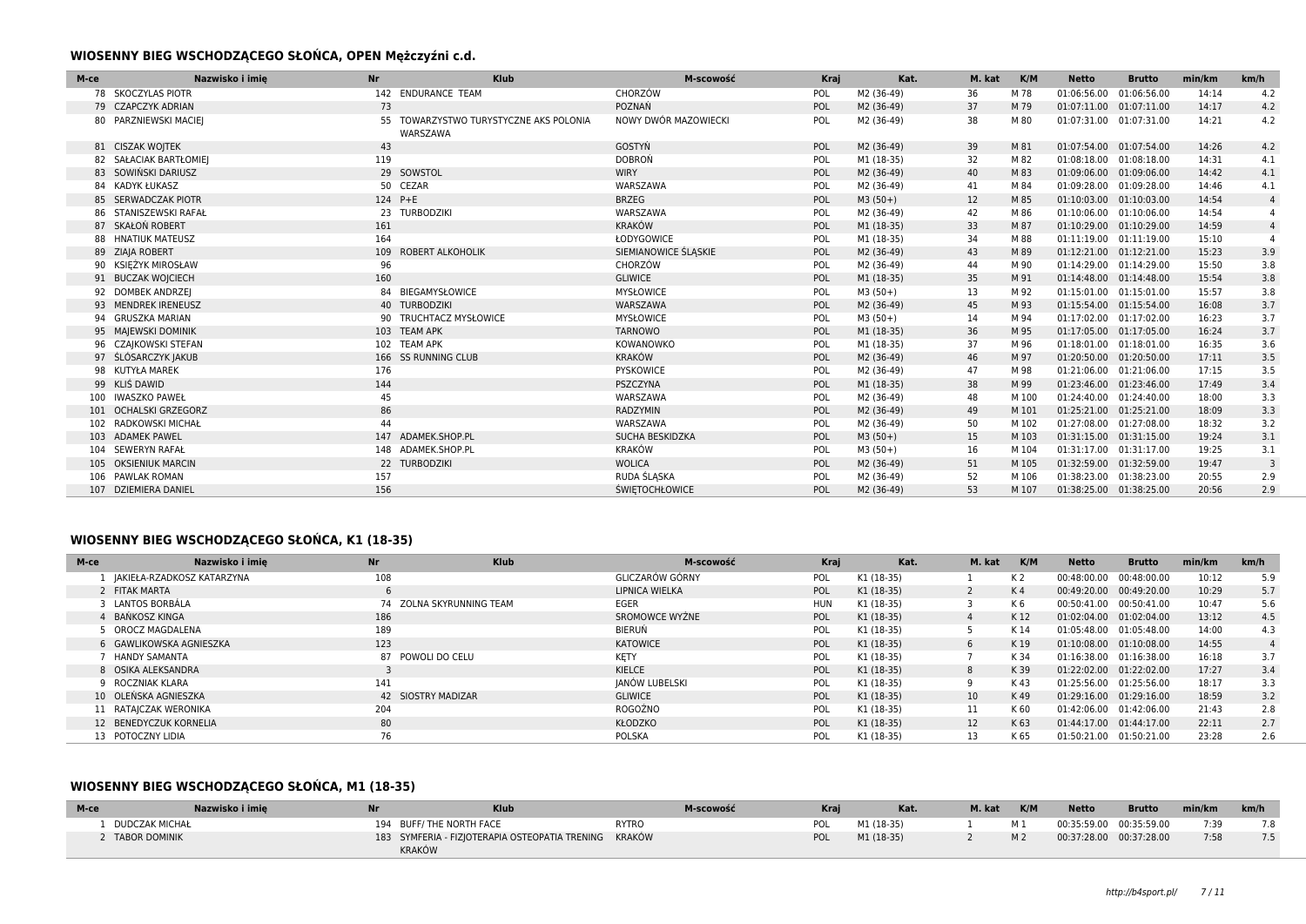### **WIOSENNY BIEG WSCHODZĄCEGO SŁOŃCA, OPEN Mężczyźni c.d.**

| M-ce | <b>Nr</b><br>Nazwisko i imie  | <b>Klub</b>                                        | M-scowość             | Kraj | Kat.       | M. kat | K/M   | <b>Netto</b>            | <b>Brutto</b> | min/km | km/h           |
|------|-------------------------------|----------------------------------------------------|-----------------------|------|------------|--------|-------|-------------------------|---------------|--------|----------------|
|      | 78 SKOCZYLAS PIOTR            | 142 ENDURANCE TEAM                                 | CHORZÓW               | POL  | M2 (36-49) | 36     | M 78  | 01:06:56.00             | 01:06:56.00   | 14:14  | 4.2            |
|      | 73<br>79 CZAPCZYK ADRIAN      |                                                    | POZNAŃ                | POL  | M2 (36-49) | 37     | M 79  | 01:07:11.00             | 01:07:11.00   | 14:17  | 4.2            |
|      | 80 PARZNIEWSKI MACIEJ         | 55 TOWARZYSTWO TURYSTYCZNE AKS POLONIA<br>WARSZAWA | NOWY DWÓR MAZOWIECKI  | POL  | M2 (36-49) | 38     | M 80  | 01:07:31.00 01:07:31.00 |               | 14:21  | 4.2            |
|      | 43<br>81 CISZAK WOJTEK        |                                                    | GOSTYŃ                | POL  | M2 (36-49) | 39     | M 81  | 01:07:54.00 01:07:54.00 |               | 14:26  | 4.2            |
|      | 82 SAŁACIAK BARTŁOMIEJ<br>119 |                                                    | <b>DOBRON</b>         | POL  | M1 (18-35) | 32     | M 82  | 01:08:18.00 01:08:18.00 |               | 14:31  | 4.1            |
|      | 83 SOWIŃSKI DARIUSZ           | 29 SOWSTOL                                         | <b>WIRY</b>           | POL  | M2 (36-49) | 40     | M 83  | 01:09:06.00 01:09:06.00 |               | 14:42  | 4.1            |
|      | 84 KADYK ŁUKASZ               | 50 CEZAR                                           | WARSZAWA              | POL  | M2 (36-49) | 41     | M 84  | 01:09:28.00             | 01:09:28.00   | 14:46  | 4.1            |
|      | 85 SERWADCZAK PIOTR           | 124 P+E                                            | <b>BRZEG</b>          | POL  | $M3(50+)$  | 12     | M 85  | 01:10:03.00             | 01:10:03.00   | 14:54  | $\overline{4}$ |
|      | 86 STANISZEWSKI RAFAŁ         | 23 TURBODZIKI                                      | WARSZAWA              | POL  | M2 (36-49) | 42     | M 86  | 01:10:06.00 01:10:06.00 |               | 14:54  | $\overline{a}$ |
|      | 87 SKAŁOŃ ROBERT<br>161       |                                                    | <b>KRAKÓW</b>         | POL  | M1 (18-35) | 33     | M 87  | 01:10:29.00 01:10:29.00 |               | 14:59  | $\overline{4}$ |
|      | 164<br>88 HNATIUK MATEUSZ     |                                                    | ŁODYGOWICE            | POL  | M1 (18-35) | 34     | M 88  | 01:11:19.00 01:11:19.00 |               | 15:10  |                |
|      | 89 ZIAJA ROBERT               | 109 ROBERT ALKOHOLIK                               | SIEMIANOWICE ŚLĄSKIE  | POL  | M2 (36-49) | 43     | M 89  | 01:12:21.00 01:12:21.00 |               | 15:23  | 3.9            |
|      | 90 KSIEŻYK MIROSŁAW<br>96     |                                                    | CHORZÓW               | POL  | M2 (36-49) | 44     | M 90  | 01:14:29.00 01:14:29.00 |               | 15:50  | 3.8            |
|      | 160<br>91 BUCZAK WOJCIECH     |                                                    | <b>GLIWICE</b>        | POL  | M1 (18-35) | 35     | M 91  | 01:14:48.00 01:14:48.00 |               | 15:54  | 3.8            |
|      | 92 DOMBEK ANDRZEJ             | 84 BIEGAMYSŁOWICE                                  | <b>MYSŁOWICE</b>      | POL  | $M3(50+)$  | 13     | M 92  | 01:15:01.00 01:15:01.00 |               | 15:57  | 3.8            |
|      | 93 MENDREK IRENEUSZ           | 40 TURBODZIKI                                      | WARSZAWA              | POL  | M2 (36-49) | 45     | M 93  | 01:15:54.00 01:15:54.00 |               | 16:08  | 3.7            |
|      | 94 GRUSZKA MARIAN             | 90 TRUCHTACZ MYSŁOWICE                             | <b>MYSŁOWICE</b>      | POL  | $M3(50+)$  | 14     | M 94  | 01:17:02.00             | 01:17:02.00   | 16:23  | 3.7            |
|      | 95 MAJEWSKI DOMINIK           | 103 TEAM APK                                       | <b>TARNOWO</b>        | POL  | M1 (18-35) | 36     | M 95  | 01:17:05.00 01:17:05.00 |               | 16:24  | 3.7            |
|      | 96 CZAJKOWSKI STEFAN          | 102 TEAM APK                                       | KOWANOWKO             | POL  | M1 (18-35) | 37     | M 96  | 01:18:01.00 01:18:01.00 |               | 16:35  | 3.6            |
|      | 97 ŚLÓSARCZYK JAKUB           | 166 SS RUNNING CLUB                                | <b>KRAKÓW</b>         | POL  | M2 (36-49) | 46     | M 97  | 01:20:50.00 01:20:50.00 |               | 17:11  | 3.5            |
|      | 176<br>98 KUTYŁA MAREK        |                                                    | PYSKOWICE             | POL  | M2 (36-49) | 47     | M 98  | 01:21:06.00 01:21:06.00 |               | 17:15  | 3.5            |
|      | 99 KLIŚ DAWID<br>144          |                                                    | PSZCZYNA              | POL  | M1 (18-35) | 38     | M 99  | 01:23:46.00 01:23:46.00 |               | 17:49  | 3.4            |
|      | 100 IWASZKO PAWEŁ<br>45       |                                                    | WARSZAWA              | POL  | M2 (36-49) | 48     | M 100 | 01:24:40.00 01:24:40.00 |               | 18:00  | 3.3            |
|      | 86<br>101 OCHALSKI GRZEGORZ   |                                                    | RADZYMIN              | POL  | M2 (36-49) | 49     | M 101 | 01:25:21.00 01:25:21.00 |               | 18:09  | 3.3            |
|      | <b>RADKOWSKI MICHAŁ</b><br>44 |                                                    | WARSZAWA              | POL  | M2 (36-49) | 50     | M 102 | 01:27:08.00 01:27:08.00 |               | 18:32  | 3.2            |
|      | 103 ADAMEK PAWEL              | 147 ADAMEK.SHOP.PL                                 | SUCHA BESKIDZKA       | POL  | $M3(50+)$  | 15     | M 103 | 01:31:15.00 01:31:15.00 |               | 19:24  | 3.1            |
| 104  | <b>SEWERYN RAFAŁ</b>          | 148 ADAMEK.SHOP.PL                                 | <b>KRAKÓW</b>         | POL  | $M3(50+)$  | 16     | M 104 | 01:31:17.00             | 01:31:17.00   | 19:25  | 3.1            |
|      | 105 OKSIENIUK MARCIN          | 22 TURBODZIKI                                      | <b>WOLICA</b>         | POL  | M2 (36-49) | 51     | M 105 | 01:32:59.00 01:32:59.00 |               | 19:47  | 3              |
|      | 106 PAWLAK ROMAN<br>157       |                                                    | RUDA ŚLĄSKA           | POL  | M2 (36-49) | 52     | M 106 | 01:38:23.00 01:38:23.00 |               | 20:55  | 2.9            |
|      | 107 DZIEMIERA DANIEL<br>156   |                                                    | <b>ŚWIETOCHŁOWICE</b> | POL  | M2 (36-49) | 53     | M 107 | 01:38:25.00 01:38:25.00 |               | 20:56  | 2.9            |

## **WIOSENNY BIEG WSCHODZĄCEGO SŁOŃCA, K1 (18-35)**

| M-ce                    | Nazwisko i imie              | <b>Nr</b>          | <b>Klub</b>              | M-scowość       | Kraj       | Kat.       | M. kat          | K/M            | <b>Netto</b> | <b>Brutto</b> | min/km | km/h |
|-------------------------|------------------------------|--------------------|--------------------------|-----------------|------------|------------|-----------------|----------------|--------------|---------------|--------|------|
|                         | 1 IAKIEŁA-RZADKOSZ KATARZYNA | 108                |                          | GLICZARÓW GÓRNY | POL        | K1 (18-35) |                 | K <sub>2</sub> | 00:48:00.00  | 00:48:00.00   | 10:12  | 5.9  |
| 2 FITAK MARTA           |                              |                    |                          | LIPNICA WIELKA  | POL        | K1 (18-35) |                 | K <sub>4</sub> | 00:49:20.00  | 00:49:20.00   | 10:29  | 5.7  |
| 3 LANTOS BORBÁLA        |                              |                    | 74 ZOLNA SKYRUNNING TEAM | EGER            | <b>HUN</b> | K1 (18-35) |                 | K6             | 00:50:41.00  | 00:50:41.00   | 10:47  | 5.6  |
| 4 BAŃKOSZ KINGA         |                              | 186                |                          | SROMOWCE WYŻNE  | POL        | K1 (18-35) | 4               | K 12           | 01:02:04.00  | 01:02:04.00   | 13:12  | 4.5  |
| 5 OROCZ MAGDALENA       |                              | 189                |                          | BIERUŃ          | POL        | K1 (18-35) |                 | K 14           | 01:05:48.00  | 01:05:48.00   | 14:00  | 4.3  |
| 6 GAWLIKOWSKA AGNIESZKA |                              | 123                |                          | <b>KATOWICE</b> | POL        | K1 (18-35) | 6               | K 19           | 01:10:08.00  | 01:10:08.00   | 14:55  |      |
| HANDY SAMANTA           |                              | 87 POWOLI DO CELU  |                          | KĘTY            | POL        | K1 (18-35) |                 | K 34           | 01:16:38.00  | 01:16:38.00   | 16:18  | 3.7  |
| 8 OSIKA ALEKSANDRA      |                              |                    |                          | KIELCE          | POL        | K1 (18-35) | 8               | K 39           | 01:22:02.00  | 01:22:02.00   | 17:27  | 3.4  |
| 9 ROCZNIAK KLARA        |                              | 141                |                          | JANÓW LUBELSKI  | POL        | K1 (18-35) |                 | K 43           | 01:25:56.00  | 01:25:56.00   | 18:17  | 3.3  |
| 10 OLEŃSKA AGNIESZKA    |                              | 42 SIOSTRY MADIZAR |                          | <b>GLIWICE</b>  | POL        | K1 (18-35) | 10 <sup>°</sup> | K 49           | 01:29:16.00  | 01:29:16.00   | 18:59  | 3.2  |
| 11 RATAJCZAK WERONIKA   |                              | 204                |                          | ROGOŹNO         | POL        | K1 (18-35) | 11              | K 60           | 01:42:06.00  | 01:42:06.00   | 21:43  | 2.8  |
| 12 BENEDYCZUK KORNELIA  |                              | 80                 |                          | KŁODZKO         | POL        | K1 (18-35) | 12              | K 63           | 01:44:17.00  | 01:44:17.00   | 22:11  | 2.7  |
| 13 POTOCZNY LIDIA       |                              | 76                 |                          | POLSKA          | POL        | K1 (18-35) | 13              | K 65           | 01:50:21.00  | 01:50:21.00   | 23:28  | 2.6  |

## **WIOSENNY BIEG WSCHODZĄCEGO SŁOŃCA, M1 (18-35)**

| M-ce                  | Nazwisko i imie |        | <b>Klub</b>                                    | M-scowość |     | Kat.       | M. kat | K/M            | <b>Netto</b>            | <b>Brutto</b> | min/km | km/h |
|-----------------------|-----------------|--------|------------------------------------------------|-----------|-----|------------|--------|----------------|-------------------------|---------------|--------|------|
| <b>DUDCZAK MICHAŁ</b> |                 |        | 194 BUFF/THE NORTH FACE                        | RYTRO     | POL | M1 (18-35) |        | M <sub>1</sub> | 00:35:59.00 00:35:59.00 |               | 7:39   |      |
| <b>TABOR DOMINIK</b>  |                 | KRAKÓW | 183 SYMFERIA - FIZJOTERAPIA OSTEOPATIA TRENING | KRAKÓW    | POL | M1 (18-35) |        | M <sub>2</sub> | 00:37:28.00 00:37:28.00 |               | 7:58   |      |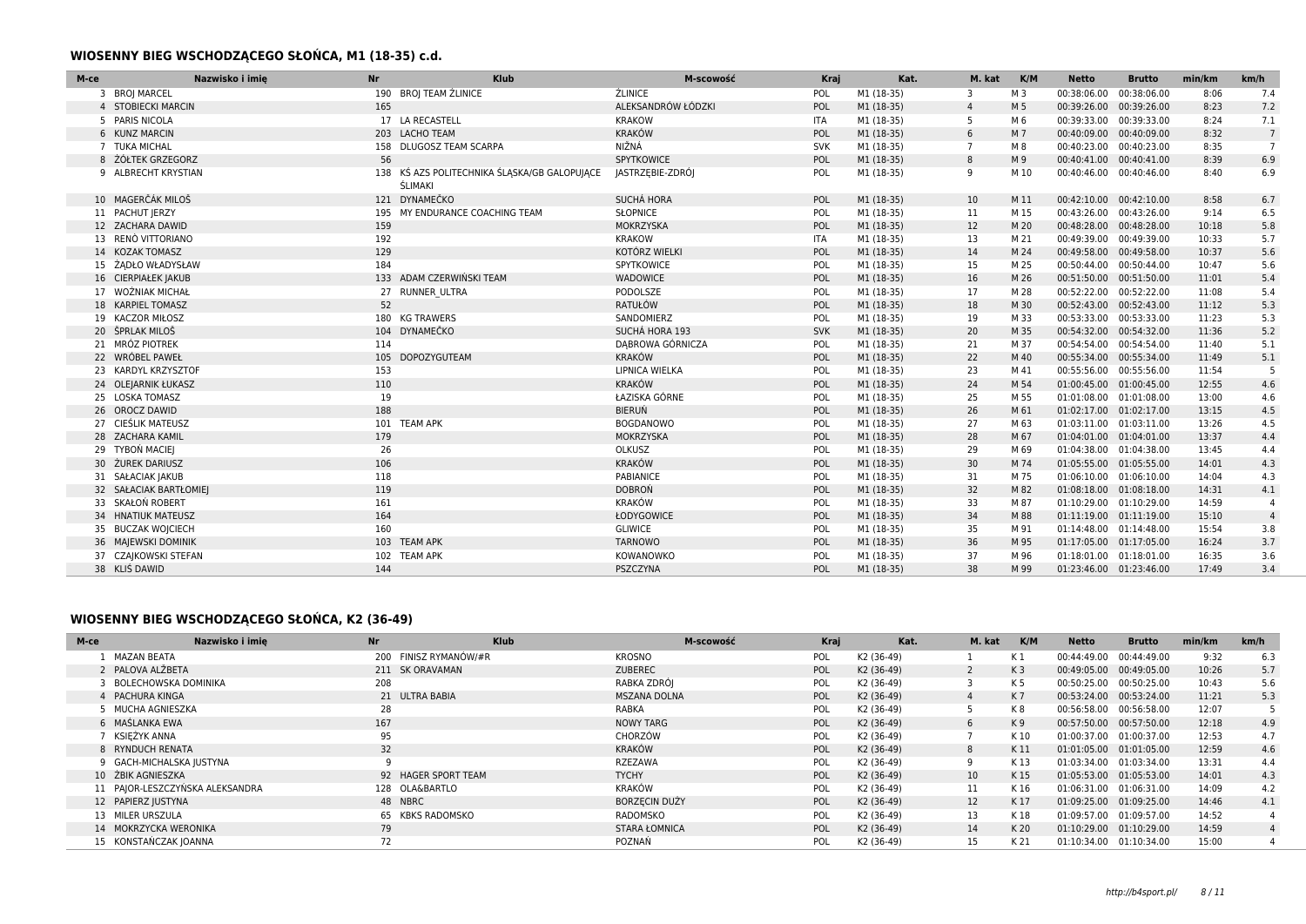### **WIOSENNY BIEG WSCHODZĄCEGO SŁOŃCA, M1 (18-35) c.d.**

| M-ce                   | Nazwisko i imie<br><b>Nr</b> | Klub                                                                  | M-scowość             | Kraj       | Kat.       | M. kat         | K/M  | <b>Netto</b>             | <b>Brutto</b> | min/km | km/h            |
|------------------------|------------------------------|-----------------------------------------------------------------------|-----------------------|------------|------------|----------------|------|--------------------------|---------------|--------|-----------------|
| 3 BROJ MARCEL          |                              | 190 BROJ TEAM ŹLINICE                                                 | <b>ŹLINICE</b>        | POL        | M1 (18-35) | 3              | M 3  | 00:38:06.00              | 00:38:06.00   | 8:06   | 7.4             |
| 4 STOBIECKI MARCIN     | 165                          |                                                                       | ALEKSANDRÓW ŁÓDZKI    | POL        | M1 (18-35) | $\overline{4}$ | M 5  | 00:39:26.00              | 00:39:26.00   | 8:23   | 7.2             |
| 5 PARIS NICOLA         |                              | 17 LA RECASTELL                                                       | <b>KRAKOW</b>         | <b>ITA</b> | M1 (18-35) | 5              | M 6  | 00:39:33.00 00:39:33.00  |               | 8:24   | 7.1             |
| 6 KUNZ MARCIN          |                              | 203 LACHO TEAM                                                        | <b>KRAKÓW</b>         | POL        | M1 (18-35) | 6              | M 7  | 00:40:09.00 00:40:09.00  |               | 8:32   | $7\overline{ }$ |
| 7 TUKA MICHAL          |                              | 158 DLUGOSZ TEAM SCARPA                                               | NIŽNÁ                 | <b>SVK</b> | M1 (18-35) | $\overline{7}$ | M 8  | 00:40:23.00 00:40:23.00  |               | 8:35   | $\overline{7}$  |
| 8 ŻÓŁTEK GRZEGORZ      |                              | 56                                                                    | SPYTKOWICE            | POL        | M1 (18-35) | 8              | M 9  | 00:40:41.00 00:40:41.00  |               | 8:39   | 6.9             |
| 9 ALBRECHT KRYSTIAN    |                              | 138 KŚ AZS POLITECHNIKA ŚLĄSKA/GB GALOPUJĄCE<br><b><i>ŚLIMAKI</i></b> | JASTRZEBIE-ZDRÓJ      | POL        | M1 (18-35) | 9              | M 10 | 00:40:46.00 00:40:46.00  |               | 8:40   | 6.9             |
| 10 MAGERČÁK MILOŠ      |                              | 121 DYNAMEČKO                                                         | SUCHÁ HORA            | POL        | M1 (18-35) | 10             | M 11 | 00:42:10.00 00:42:10.00  |               | 8:58   | 6.7             |
| 11 PACHUT JERZY        |                              | 195 MY ENDURANCE COACHING TEAM                                        | <b>SŁOPNICE</b>       | POL        | M1 (18-35) | 11             | M 15 | 00:43:26.00 00:43:26.00  |               | 9:14   | 6.5             |
| 12 ZACHARA DAWID       | 159                          |                                                                       | MOKRZYSKA             | POL        | M1 (18-35) | 12             | M 20 | 00:48:28.00              | 00:48:28.00   | 10:18  | 5.8             |
| 13 RENÒ VITTORIANO     | 192                          |                                                                       | <b>KRAKOW</b>         | <b>ITA</b> | M1 (18-35) | 13             | M 21 | 00:49:39.00 00:49:39.00  |               | 10:33  | 5.7             |
| 14 KOZAK TOMASZ        | 129                          |                                                                       | KOTÓRZ WIELKI         | POL        | M1 (18-35) | 14             | M 24 | 00:49:58.00 00:49:58.00  |               | 10:37  | 5.6             |
| 15 ŻADŁO WŁADYSŁAW     | 184                          |                                                                       | SPYTKOWICE            | POL        | M1 (18-35) | 15             | M 25 | 00:50:44.00 00:50:44.00  |               | 10:47  | 5.6             |
| 16 CIERPIAŁEK JAKUB    |                              | 133 ADAM CZERWIŃSKI TEAM                                              | WADOWICE              | POL        | M1 (18-35) | 16             | M 26 | 00:51:50.00 00:51:50.00  |               | 11:01  | 5.4             |
| 17 WOŹNIAK MICHAŁ      |                              | 27 RUNNER ULTRA                                                       | PODOLSZE              | POL        | M1 (18-35) | 17             | M 28 | 00:52:22.00 00:52:22.00  |               | 11:08  | 5.4             |
| 18 KARPIEL TOMASZ      |                              | 52                                                                    | RATUŁÓW               | POL        | M1 (18-35) | 18             | M 30 | 00:52:43.00 00:52:43.00  |               | 11:12  | 5.3             |
| 19 KACZOR MIŁOSZ       |                              | 180 KG TRAWERS                                                        | SANDOMIERZ            | POL        | M1 (18-35) | 19             | M 33 | 00:53:33.00 00:53:33.00  |               | 11:23  | 5.3             |
| 20 ŠPRLAK MILOŠ        |                              | 104 DYNAMEČKO                                                         | SUCHÁ HORA 193        | SVK        | M1 (18-35) | 20             | M 35 | 00:54:32.00 00:54:32.00  |               | 11:36  | 5.2             |
| 21 MRÓZ PIOTREK        | 114                          |                                                                       | DABROWA GÓRNICZA      | POL        | M1 (18-35) | 21             | M 37 | 00:54:54.00 00:54:54.00  |               | 11:40  | 5.1             |
| 22 WRÓBEL PAWEŁ        |                              | 105 DOPOZYGUTEAM                                                      | KRAKÓW                | POL        | M1 (18-35) | 22             | M 40 | 00:55:34.00 00:55:34.00  |               | 11:49  | 5.1             |
| 23 KARDYL KRZYSZTOF    | 153                          |                                                                       | <b>LIPNICA WIELKA</b> | POL        | M1 (18-35) | 23             | M 41 | 00:55:56.00 00:55:56.00  |               | 11:54  | 5               |
| 24 OLEJARNIK ŁUKASZ    | 110                          |                                                                       | <b>KRAKÓW</b>         | POL        | M1 (18-35) | 24             | M 54 | 01:00:45.00  01:00:45.00 |               | 12:55  | 4.6             |
| 25 LOSKA TOMASZ        | 19                           |                                                                       | ŁAZISKA GÓRNE         | POL        | M1 (18-35) | 25             | M 55 | 01:01:08.00 01:01:08.00  |               | 13:00  | 4.6             |
| 26 OROCZ DAWID         | 188                          |                                                                       | <b>BIERUŃ</b>         | POL        | M1 (18-35) | 26             | M 61 | 01:02:17.00 01:02:17.00  |               | 13:15  | 4.5             |
| 27 CIEŚLIK MATEUSZ     |                              | 101 TEAM APK                                                          | <b>BOGDANOWO</b>      | POL        | M1 (18-35) | 27             | M 63 | 01:03:11.00 01:03:11.00  |               | 13:26  | 4.5             |
| 28 ZACHARA KAMIL       | 179                          |                                                                       | MOKRZYSKA             | POL        | M1 (18-35) | 28             | M 67 | 01:04:01.00 01:04:01.00  |               | 13:37  | 4.4             |
| 29 TYBOŃ MACIEJ        | 26                           |                                                                       | OLKUSZ                | POL        | M1 (18-35) | 29             | M 69 | 01:04:38.00 01:04:38.00  |               | 13:45  | 4.4             |
| 30 ŻUREK DARIUSZ       | 106                          |                                                                       | <b>KRAKÓW</b>         | POL        | M1 (18-35) | 30             | M 74 | 01:05:55.00 01:05:55.00  |               | 14:01  | 4.3             |
| 31 SAŁACIAK JAKUB      | 118                          |                                                                       | PABIANICE             | POL        | M1 (18-35) | 31             | M 75 | 01:06:10.00 01:06:10.00  |               | 14:04  | 4.3             |
| 32 SAŁACIAK BARTŁOMIEJ | 119                          |                                                                       | <b>DOBRON</b>         | POL        | M1 (18-35) | 32             | M 82 | 01:08:18.00 01:08:18.00  |               | 14:31  | 4.1             |
| 33 SKAŁOŃ ROBERT       | 161                          |                                                                       | <b>KRAKÓW</b>         | POL        | M1 (18-35) | 33             | M 87 | 01:10:29.00 01:10:29.00  |               | 14:59  | $\overline{4}$  |
| 34 HNATIUK MATEUSZ     | 164                          |                                                                       | ŁODYGOWICE            | POL        | M1 (18-35) | 34             | M 88 | 01:11:19.00 01:11:19.00  |               | 15:10  | $\overline{4}$  |
| 35 BUCZAK WOJCIECH     | 160                          |                                                                       | <b>GLIWICE</b>        | POL        | M1 (18-35) | 35             | M 91 | 01:14:48.00 01:14:48.00  |               | 15:54  | 3.8             |
| 36 MAJEWSKI DOMINIK    |                              | 103 TEAM APK                                                          | <b>TARNOWO</b>        | POL        | M1 (18-35) | 36             | M 95 | 01:17:05.00 01:17:05.00  |               | 16:24  | 3.7             |
| 37 CZAJKOWSKI STEFAN   |                              | 102 TEAM APK                                                          | KOWANOWKO             | POL        | M1 (18-35) | 37             | M 96 | 01:18:01.00              | 01:18:01.00   | 16:35  | 3.6             |
| 38 KLIŚ DAWID          | 144                          |                                                                       | PSZCZYNA              | POL        | M1 (18-35) | 38             | M 99 | 01:23:46.00 01:23:46.00  |               | 17:49  | 3.4             |

## **WIOSENNY BIEG WSCHODZĄCEGO SŁOŃCA, K2 (36-49)**

| M-ce | Nazwisko i imie                 | <b>Nr</b>             | <b>Klub</b> | M-scowość            | Kraj       | Kat.                   | M. kat          | K/M            | Netto                   | <b>Brutto</b>           | min/km | km/h |
|------|---------------------------------|-----------------------|-------------|----------------------|------------|------------------------|-----------------|----------------|-------------------------|-------------------------|--------|------|
|      | MAZAN BEATA                     | 200 FINISZ RYMANÓW/#R |             | KROSNO               | <b>POL</b> | K <sub>2</sub> (36-49) |                 | K 1            |                         | 00:44:49.00 00:44:49.00 | 9:32   | 6.3  |
|      | 2 PALOVA ALŽBETA                | 211 SK ORAVAMAN       |             | <b>ZUBEREC</b>       | <b>POL</b> | K2 (36-49)             |                 | K <sub>3</sub> |                         | 00:49:05.00 00:49:05.00 | 10:26  | 5.7  |
|      | BOLECHOWSKA DOMINIKA            | 208                   |             | RABKA ZDRÓJ          | <b>POL</b> | K2 (36-49)             |                 | K 5            |                         | 00:50:25.00 00:50:25.00 | 10:43  | 5.6  |
|      | 4 PACHURA KINGA                 | 21 ULTRA BABIA        |             | MSZANA DOLNA         | <b>POL</b> | K2 (36-49)             |                 | K 7            |                         | 00:53:24.00 00:53:24.00 | 11:21  | 5.3  |
|      | MUCHA AGNIESZKA                 | 28                    |             | RABKA                | <b>POL</b> | K2 (36-49)             |                 | K 8            |                         | 00:56:58.00 00:56:58.00 | 12:07  |      |
|      | 6 MAŚLANKA EWA                  | 167                   |             | NOWY TARG            | <b>POL</b> | K2 (36-49)             | 6               | K 9            |                         | 00:57:50.00 00:57:50.00 | 12:18  | 4.9  |
|      | KSIĘŻYK ANNA                    | 95                    |             | CHORZÓW              | <b>POL</b> | K2 (36-49)             |                 | K 10           |                         | 01:00:37.00 01:00:37.00 | 12:53  | 4.7  |
|      | 8 RYNDUCH RENATA                | 32                    |             | <b>KRAKÓW</b>        | <b>POL</b> | K2 (36-49)             | 8               | K 11           |                         | 01:01:05.00 01:01:05.00 | 12:59  | 4.6  |
|      | 9 GACH-MICHALSKA JUSTYNA        |                       |             | RZEZAWA              | <b>POL</b> | K2 (36-49)             | 9               | K 13           |                         | 01:03:34.00 01:03:34.00 | 13:31  | 4.4  |
|      | 10 ŻBIK AGNIESZKA               | 92 HAGER SPORT TEAM   |             | <b>TYCHY</b>         | POL        | K2 (36-49)             | 10 <sup>°</sup> | K 15           |                         | 01:05:53.00 01:05:53.00 | 14:01  | 4.3  |
|      | 11 PAJOR-LESZCZYŃSKA ALEKSANDRA | 128 OLA&BARTLO        |             | KRAKÓW               | <b>POL</b> | K2 (36-49)             | 11              | K 16           | 01:06:31.00 01:06:31.00 |                         | 14:09  | 4.2  |
|      | 12 PAPIERZ JUSTYNA              | 48 NBRC               |             | <b>BORZECIN DUŻY</b> | <b>POL</b> | K2 (36-49)             | 12              | K 17           |                         | 01:09:25.00 01:09:25.00 | 14:46  | 4.1  |
|      | 13 MILER URSZULA                | 65 KBKS RADOMSKO      |             | RADOMSKO             | POL        | K2 (36-49)             | 13              | K 18           | 01:09:57.00 01:09:57.00 |                         | 14:52  |      |
|      | 14 MOKRZYCKA WERONIKA           | 79                    |             | <b>STARA ŁOMNICA</b> | <b>POL</b> | K2 (36-49)             | 14              | K 20           |                         | 01:10:29.00 01:10:29.00 | 14:59  |      |
|      | 15 KONSTAŃCZAK JOANNA           | 72                    |             | POZNAŃ               | POL        | K2 (36-49)             | 15              | K 21           |                         | 01:10:34.00 01:10:34.00 | 15:00  |      |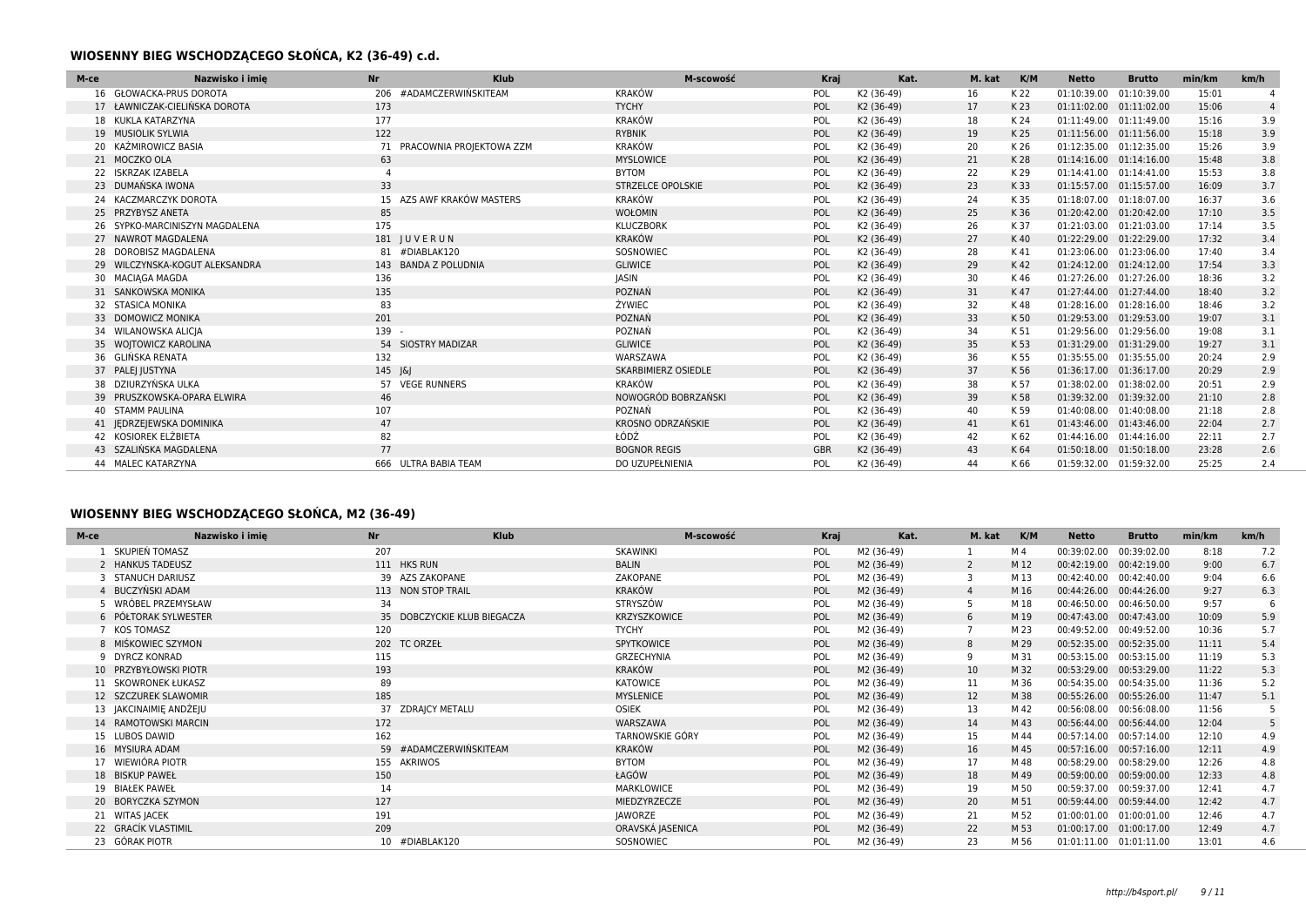### **WIOSENNY BIEG WSCHODZĄCEGO SŁOŃCA, K2 (36-49) c.d.**

| M-ce | <b>Nr</b><br>Nazwisko i imie   | Klub                           | M-scowość                  | Kraj       | Kat.       | M. kat | K/M  | <b>Netto</b>            | <b>Brutto</b> | min/km | km/h           |
|------|--------------------------------|--------------------------------|----------------------------|------------|------------|--------|------|-------------------------|---------------|--------|----------------|
|      | <b>GŁOWACKA-PRUS DOROTA</b>    | #ADAMCZERWIŃSKITEAM<br>206     | <b>KRAKÓW</b>              | POL        | K2 (36-49) | 16     | K 22 | 01:10:39.00             | 01:10:39.00   | 15:01  |                |
|      | 17 ŁAWNICZAK-CIELIŃSKA DOROTA  | 173                            | <b>TYCHY</b>               | POL        | K2 (36-49) | 17     | K 23 | 01:11:02.00             | 01:11:02.00   | 15:06  | $\overline{4}$ |
|      | 18 KUKLA KATARZYNA             | 177                            | <b>KRAKÓW</b>              | POL        | K2 (36-49) | 18     | K 24 | 01:11:49.00             | 01:11:49.00   | 15:16  | 3.9            |
|      | 19 MUSIOLIK SYLWIA             | 122                            | <b>RYBNIK</b>              | POL        | K2 (36-49) | 19     | K 25 | 01:11:56.00             | 01:11:56.00   | 15:18  | 3.9            |
|      | 20 KAŹMIROWICZ BASIA           | PRACOWNIA PROJEKTOWA ZZM<br>71 | <b>KRAKÓW</b>              | POL        | K2 (36-49) | 20     | K 26 | 01:12:35.00             | 01:12:35.00   | 15:26  | 3.9            |
|      | 21 MOCZKO OLA                  | 63                             | <b>MYSLOWICE</b>           | POL        | K2 (36-49) | 21     | K 28 | 01:14:16.00             | 01:14:16.00   | 15:48  | 3.8            |
|      | 22 ISKRZAK IZABELA             |                                | <b>BYTOM</b>               | POL        | K2 (36-49) | 22     | K 29 | 01:14:41.00 01:14:41.00 |               | 15:53  | 3.8            |
|      | 23 DUMAŃSKA IWONA              | 33                             | <b>STRZELCE OPOLSKIE</b>   | POL        | K2 (36-49) | 23     | K 33 | 01:15:57.00             | 01:15:57.00   | 16:09  | 3.7            |
|      | 24 KACZMARCZYK DOROTA          | 15 AZS AWF KRAKÓW MASTERS      | <b>KRAKÓW</b>              | POL        | K2 (36-49) | 24     | K 35 | 01:18:07.00             | 01:18:07.00   | 16:37  | 3.6            |
|      | 25 PRZYBYSZ ANETA              | 85                             | <b>WOŁOMIN</b>             | POL        | K2 (36-49) | 25     | K 36 | 01:20:42.00             | 01:20:42.00   | 17:10  | 3.5            |
|      | 26 SYPKO-MARCINISZYN MAGDALENA | 175                            | <b>KLUCZBORK</b>           | POL        | K2 (36-49) | 26     | K 37 | 01:21:03.00 01:21:03.00 |               | 17:14  | 3.5            |
|      | 27 NAWROT MAGDALENA            | 181 JUVERUN                    | <b>KRAKÓW</b>              | POL        | K2 (36-49) | 27     | K 40 | 01:22:29.00             | 01:22:29.00   | 17:32  | 3.4            |
|      | 28 DOROBISZ MAGDALENA          | 81 #DIABLAK120                 | SOSNOWIEC                  | POL        | K2 (36-49) | 28     | K 41 | 01:23:06.00             | 01:23:06.00   | 17:40  | 3.4            |
|      | 29 WILCZYNSKA-KOGUT ALEKSANDRA | 143 BANDA Z POLUDNIA           | <b>GLIWICE</b>             | POL        | K2 (36-49) | 29     | K 42 | 01:24:12.00             | 01:24:12.00   | 17:54  | 3.3            |
|      | 30 MACIAGA MAGDA               | 136                            | <b>JASIN</b>               | POL        | K2 (36-49) | 30     | K 46 | 01:27:26.00             | 01:27:26.00   | 18:36  | 3.2            |
|      | 31 SANKOWSKA MONIKA            | 135                            | POZNAŃ                     | POL        | K2 (36-49) | 31     | K 47 | 01:27:44.00             | 01:27:44.00   | 18:40  | 3.2            |
|      | 32 STASICA MONIKA              | 83                             | ŻYWIEC                     | POL        | K2 (36-49) | 32     | K 48 | 01:28:16.00             | 01:28:16.00   | 18:46  | 3.2            |
|      | 33 DOMOWICZ MONIKA             | 201                            | POZNAŃ                     | POL        | K2 (36-49) | 33     | K 50 | 01:29:53.00             | 01:29:53.00   | 19:07  | 3.1            |
|      | 34 WILANOWSKA ALICIA           | 139 -                          | POZNAŃ                     | POL        | K2 (36-49) | 34     | K 51 | 01:29:56.00 01:29:56.00 |               | 19:08  | 3.1            |
|      | 35 WOJTOWICZ KAROLINA          | 54 SIOSTRY MADIZAR             | <b>GLIWICE</b>             | POL        | K2 (36-49) | 35     | K 53 | 01:31:29.00 01:31:29.00 |               | 19:27  | 3.1            |
|      | 36 GLIŃSKA RENATA              | 132                            | WARSZAWA                   | POL        | K2 (36-49) | 36     | K 55 | 01:35:55.00             | 01:35:55.00   | 20:24  | 2.9            |
|      | 37 PALEJ JUSTYNA               | 145 J&J                        | <b>SKARBIMIERZ OSIEDLE</b> | POL        | K2 (36-49) | 37     | K 56 | 01:36:17.00 01:36:17.00 |               | 20:29  | 2.9            |
|      | 38 DZIURZYŃSKA ULKA            | 57 VEGE RUNNERS                | <b>KRAKÓW</b>              | POL        | K2 (36-49) | 38     | K 57 | 01:38:02.00             | 01:38:02.00   | 20:51  | 2.9            |
|      | 39 PRUSZKOWSKA-OPARA ELWIRA    | 46                             | NOWOGRÓD BOBRZAŃSKI        | POL        | K2 (36-49) | 39     | K 58 | 01:39:32.00             | 01:39:32.00   | 21:10  | 2.8            |
|      | 40 STAMM PAULINA               | 107                            | POZNAŃ                     | POL        | K2 (36-49) | 40     | K 59 | 01:40:08.00             | 01:40:08.00   | 21:18  | 2.8            |
|      | 41 JEDRZEJEWSKA DOMINIKA       | 47                             | KROSNO ODRZAŃSKIE          | POL        | K2 (36-49) | 41     | K 61 | 01:43:46.00             | 01:43:46.00   | 22:04  | 2.7            |
|      | 42 KOSIOREK ELŻBIETA           | 82                             | ŁÓDŹ                       | POL        | K2 (36-49) | 42     | K 62 | 01:44:16.00 01:44:16.00 |               | 22:11  | 2.7            |
|      | 43 SZALIŃSKA MAGDALENA         | 77                             | <b>BOGNOR REGIS</b>        | <b>GBR</b> | K2 (36-49) | 43     | K 64 | 01:50:18.00             | 01:50:18.00   | 23:28  | 2.6            |
|      | 44 MALEC KATARZYNA             | 666 ULTRA BABIA TEAM           | DO UZUPEŁNIENIA            | POL        | K2 (36-49) | 44     | K 66 | 01:59:32.00 01:59:32.00 |               | 25:25  | 2.4            |

## **WIOSENNY BIEG WSCHODZĄCEGO SŁOŃCA, M2 (36-49)**

| M-ce | Nazwisko i imie        | <b>Nr</b> | Klub                        | M-scowość        | Kraj | Kat.       | M. kat | K/M  | Netto                   | <b>Brutto</b> | min/km | km/h |
|------|------------------------|-----------|-----------------------------|------------------|------|------------|--------|------|-------------------------|---------------|--------|------|
|      | SKUPIEŃ TOMASZ         | 207       |                             | SKAWINKI         | POL  | M2 (36-49) |        | M 4  | 00:39:02.00             | 00:39:02.00   | 8:18   | 7.2  |
|      | 2 HANKUS TADEUSZ       |           | 111 HKS RUN                 | <b>BALIN</b>     | POL  | M2 (36-49) | 2      | M 12 | 00:42:19.00             | 00:42:19.00   | 9:00   | 6.7  |
|      | 3 STANUCH DARIUSZ      |           | 39 AZS ZAKOPANE             | ZAKOPANE         | POL  | M2 (36-49) | 3      | M 13 | 00:42:40.00             | 00:42:40.00   | 9:04   | 6.6  |
|      | 4 BUCZYŃSKI ADAM       |           | 113 NON STOP TRAIL          | <b>KRAKÓW</b>    | POL  | M2 (36-49) |        | M 16 | 00:44:26.00             | 00:44:26.00   | 9:27   | 6.3  |
|      | 5 WRÓBEL PRZEMYSŁAW    | 34        |                             | STRYSZÓW         | POL  | M2 (36-49) | -5     | M 18 | 00:46:50.00             | 00:46:50.00   | 9:57   | 6    |
|      | 6 PÓŁTORAK SYLWESTER   |           | 35 DOBCZYCKIE KLUB BIEGACZA | KRZYSZKOWICE     | POL  | M2 (36-49) | 6      | M 19 | 00:47:43.00 00:47:43.00 |               | 10:09  | 5.9  |
|      | 7 KOS TOMASZ           | 120       |                             | <b>TYCHY</b>     | POL  | M2 (36-49) |        | M 23 | 00:49:52.00             | 00:49:52.00   | 10:36  | 5.7  |
|      | 8 MIŚKOWIEC SZYMON     |           | 202 TC ORZEŁ                | SPYTKOWICE       | POL  | M2 (36-49) | 8      | M 29 | 00:52:35.00             | 00:52:35.00   | 11:11  | 5.4  |
|      | 9 DYRCZ KONRAD         | 115       |                             | GRZECHYNIA       | POL  | M2 (36-49) | 9      | M 31 | 00:53:15.00             | 00:53:15.00   | 11:19  | 5.3  |
|      | 10 PRZYBYŁOWSKI PIOTR  | 193       |                             | KRAKÓW           | POL  | M2 (36-49) | 10     | M 32 | 00:53:29.00             | 00:53:29.00   | 11:22  | 5.3  |
|      | 11 SKOWRONEK ŁUKASZ    | 89        |                             | KATOWICE         | POL  | M2 (36-49) | 11     | M 36 | 00:54:35.00             | 00:54:35.00   | 11:36  | 5.2  |
|      | 12 SZCZUREK SLAWOMIR   | 185       |                             | <b>MYSLENICE</b> | POL  | M2 (36-49) | 12     | M 38 | 00:55:26.00             | 00:55:26.00   | 11:47  | 5.1  |
|      | 13 JAKCINAIMIE ANDŻEJU |           | 37 ZDRAICY METALU           | OSIEK            | POL  | M2 (36-49) | 13     | M 42 | 00:56:08.00             | 00:56:08.00   | 11:56  | 5    |
|      | 14 RAMOTOWSKI MARCIN   | 172       |                             | WARSZAWA         | POL  | M2 (36-49) | 14     | M 43 | 00:56:44.00 00:56:44.00 |               | 12:04  |      |
|      | 15 LUBOS DAWID         | 162       |                             | TARNOWSKIE GÓRY  | POL  | M2 (36-49) | 15     | M 44 | 00:57:14.00             | 00:57:14.00   | 12:10  | 4.9  |
|      | 16 MYSIURA ADAM        |           | 59 #ADAMCZERWIŃSKITEAM      | <b>KRAKÓW</b>    | POL  | M2 (36-49) | 16     | M 45 | 00:57:16.00             | 00:57:16.00   | 12:11  | 4.9  |
|      | 17 WIEWIÓRA PIOTR      |           | 155 AKRIWOS                 | <b>BYTOM</b>     | POL  | M2 (36-49) | 17     | M 48 | 00:58:29.00 00:58:29.00 |               | 12:26  | 4.8  |
|      | 18 BISKUP PAWEŁ        | 150       |                             | ŁAGÓW            | POL  | M2 (36-49) | 18     | M 49 | 00:59:00.00             | 00:59:00.00   | 12:33  | 4.8  |
|      | 19 BIAŁEK PAWEŁ        | 14        |                             | MARKLOWICE       | POL  | M2 (36-49) | 19     | M 50 | 00:59:37.00 00:59:37.00 |               | 12:41  | 4.7  |
|      | 20 BORYCZKA SZYMON     | 127       |                             | MIEDZYRZECZE     | POL  | M2 (36-49) | 20     | M 51 | 00:59:44.00 00:59:44.00 |               | 12:42  | 4.7  |
|      | 21 WITAS JACEK         | 191       |                             | JAWORZE          | POL  | M2 (36-49) | 21     | M 52 | 01:00:01.00             | 01:00:01.00   | 12:46  | 4.7  |
|      | 22 GRACÍK VLASTIMIL    | 209       |                             | ORAVSKÁ JASENICA | POL  | M2 (36-49) | 22     | M 53 | 01:00:17.00 01:00:17.00 |               | 12:49  | 4.7  |
|      | 23 GÓRAK PIOTR         |           | 10 #DIABLAK120              | SOSNOWIEC        | POL  | M2 (36-49) | 23     | M 56 | 01:01:11.00             | 01:01:11.00   | 13:01  | 4.6  |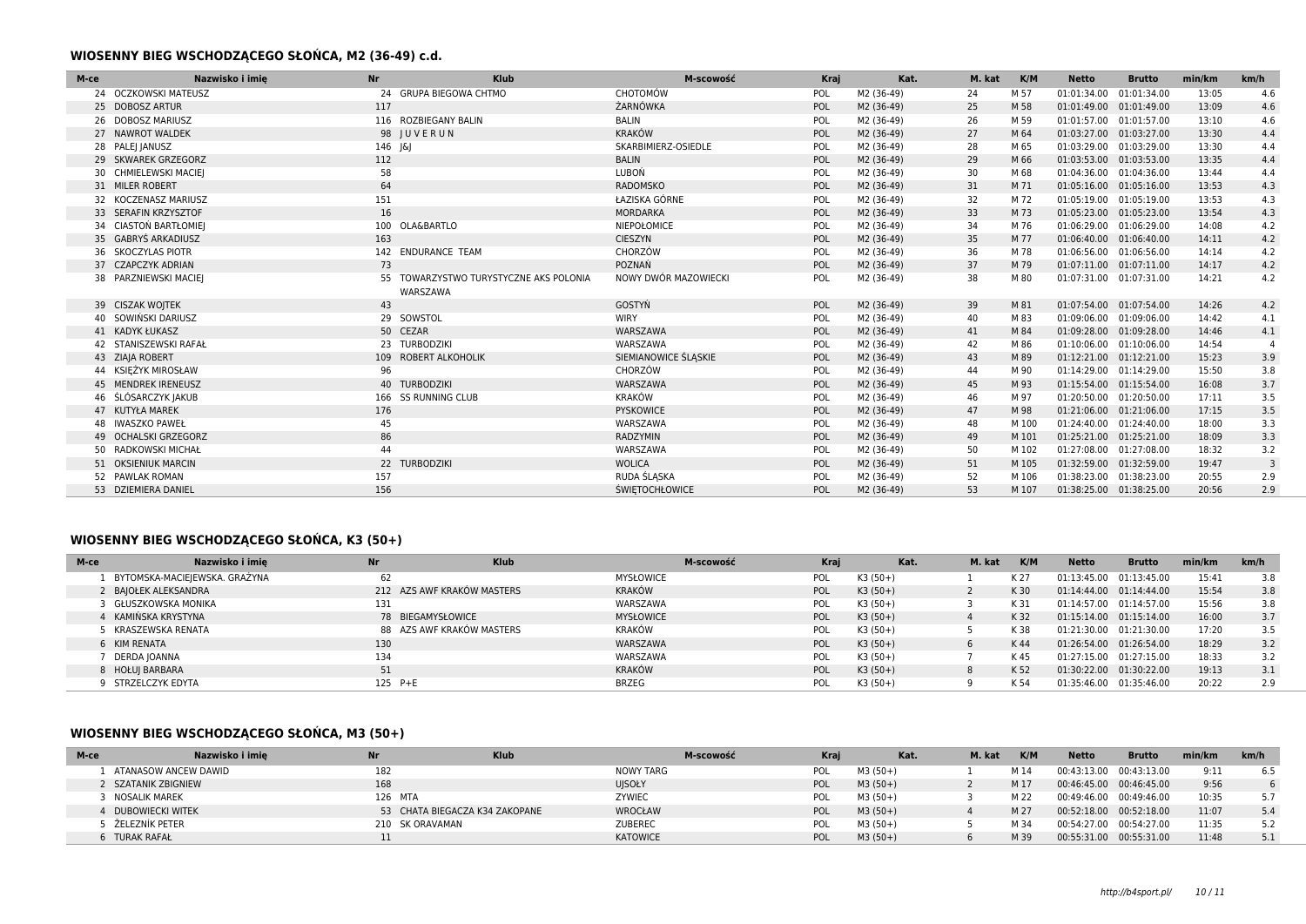### **WIOSENNY BIEG WSCHODZĄCEGO SŁOŃCA, M2 (36-49) c.d.**

| M-ce | Nazwisko i imie<br><b>Nr</b> |         | <b>Klub</b>                                     | M-scowość             | Kraj | Kat.       | M. kat | K/M   | <b>Netto</b>            | <b>Brutto</b> | min/km | km/h           |
|------|------------------------------|---------|-------------------------------------------------|-----------------------|------|------------|--------|-------|-------------------------|---------------|--------|----------------|
|      | 24 OCZKOWSKI MATEUSZ         |         | 24 GRUPA BIEGOWA CHTMO                          | CHOTOMÓW              | POL  | M2 (36-49) | 24     | M 57  | 01:01:34.00             | 01:01:34.00   | 13:05  | 4.6            |
|      | 25 DOBOSZ ARTUR              | 117     |                                                 | ŻARNÓWKA              | POL  | M2 (36-49) | 25     | M 58  | 01:01:49.00             | 01:01:49.00   | 13:09  | 4.6            |
|      | 26 DOBOSZ MARIUSZ            |         | 116 ROZBIEGANY BALIN                            | <b>BALIN</b>          | POL  | M2 (36-49) | 26     | M 59  | 01:01:57.00 01:01:57.00 |               | 13:10  | 4.6            |
|      | 27 NAWROT WALDEK             |         | 98 JUVERUN                                      | <b>KRAKÓW</b>         | POL  | M2 (36-49) | 27     | M 64  | 01:03:27.00 01:03:27.00 |               | 13:30  | 4.4            |
|      | 28 PALE  JANUSZ              | 146 J&J |                                                 | SKARBIMIERZ-OSIEDLE   | POL  | M2 (36-49) | 28     | M 65  | 01:03:29.00             | 01:03:29.00   | 13:30  | 4.4            |
|      | 29 SKWAREK GRZEGORZ          | 112     |                                                 | <b>BALIN</b>          | POL  | M2 (36-49) | 29     | M 66  | 01:03:53.00 01:03:53.00 |               | 13:35  | 4.4            |
|      | 30 CHMIELEWSKI MACIE         | 58      |                                                 | LUBOŃ                 | POL  | M2 (36-49) | 30     | M 68  | 01:04:36.00 01:04:36.00 |               | 13:44  | 4.4            |
|      | 31 MILER ROBERT              | 64      |                                                 | <b>RADOMSKO</b>       | POL  | M2 (36-49) | 31     | M 71  | 01:05:16.00 01:05:16.00 |               | 13:53  | 4.3            |
|      | 32 KOCZENASZ MARIUSZ         | 151     |                                                 | ŁAZISKA GÓRNE         | POL  | M2 (36-49) | 32     | M 72  | 01:05:19.00             | 01:05:19.00   | 13:53  | 4.3            |
|      | 33 SERAFIN KRZYSZTOF         | 16      |                                                 | MORDARKA              | POL  | M2 (36-49) | 33     | M 73  | 01:05:23.00 01:05:23.00 |               | 13:54  | 4.3            |
|      | 34 CIASTON BARTŁOMIEI        |         | 100 OLA&BARTLO                                  | NIEPOŁOMICE           | POL  | M2 (36-49) | 34     | M 76  | 01:06:29.00 01:06:29.00 |               | 14:08  | 4.2            |
|      | 35 GABRYŚ ARKADIUSZ          | 163     |                                                 | <b>CIESZYN</b>        | POL  | M2 (36-49) | 35     | M 77  | 01:06:40.00 01:06:40.00 |               | 14:11  | 4.2            |
|      | 36 SKOCZYLAS PIOTR           |         | 142 ENDURANCE TEAM                              | CHORZÓW               | POL  | M2 (36-49) | 36     | M 78  | 01:06:56.00 01:06:56.00 |               | 14:14  | 4.2            |
|      | 37 CZAPCZYK ADRIAN           | 73      |                                                 | POZNAŃ                | POL  | M2 (36-49) | 37     | M 79  | 01:07:11.00 01:07:11.00 |               | 14:17  | 4.2            |
|      | 38 PARZNIEWSKI MACIEJ        | 55      | TOWARZYSTWO TURYSTYCZNE AKS POLONIA<br>WARSZAWA | NOWY DWÓR MAZOWIECKI  | POL  | M2 (36-49) | 38     | M 80  | 01:07:31.00 01:07:31.00 |               | 14:21  | 4.2            |
|      | 39 CISZAK WOJTEK             | 43      |                                                 | GOSTYŃ                | POL  | M2 (36-49) | 39     | M 81  | 01:07:54.00 01:07:54.00 |               | 14:26  | 4.2            |
|      | 40 SOWIŃSKI DARIUSZ          |         | 29 SOWSTOL                                      | <b>WIRY</b>           | POL  | M2 (36-49) | 40     | M 83  | 01:09:06.00 01:09:06.00 |               | 14:42  | 4.1            |
|      | 41 KADYK ŁUKASZ              |         | 50 CEZAR                                        | WARSZAWA              | POL  | M2 (36-49) | 41     | M 84  | 01:09:28.00 01:09:28.00 |               | 14:46  | 4.1            |
|      | 42 STANISZEWSKI RAFAŁ        | 23      | <b>TURBODZIKI</b>                               | WARSZAWA              | POL  | M2 (36-49) | 42     | M 86  | 01:10:06.00             | 01:10:06.00   | 14:54  | $\overline{4}$ |
|      | 43 ZIAJA ROBERT              |         | 109 ROBERT ALKOHOLIK                            | SIEMIANOWICE ŚLĄSKIE  | POL  | M2 (36-49) | 43     | M 89  | 01:12:21.00 01:12:21.00 |               | 15:23  | 3.9            |
|      | 44 KSIEŻYK MIROSŁAW          | 96      |                                                 | CHORZÓW               | POL  | M2 (36-49) | 44     | M 90  | 01:14:29.00             | 01:14:29.00   | 15:50  | 3.8            |
|      | 45 MENDREK IRENEUSZ          |         | 40 TURBODZIKI                                   | WARSZAWA              | POL  | M2 (36-49) | 45     | M 93  | 01:15:54.00             | 01:15:54.00   | 16:08  | 3.7            |
|      | 46 ŚLÓSARCZYK JAKUB          |         | 166 SS RUNNING CLUB                             | <b>KRAKÓW</b>         | POL  | M2 (36-49) | 46     | M 97  | 01:20:50.00 01:20:50.00 |               | 17:11  | 3.5            |
|      | 47 KUTYŁA MAREK              | 176     |                                                 | PYSKOWICE             | POL  | M2 (36-49) | 47     | M 98  | 01:21:06.00             | 01:21:06.00   | 17:15  | 3.5            |
|      | 48 IWASZKO PAWEŁ             | 45      |                                                 | WARSZAWA              | POL  | M2 (36-49) | 48     | M 100 | 01:24:40.00 01:24:40.00 |               | 18:00  | 3.3            |
|      | 49 OCHALSKI GRZEGORZ         | 86      |                                                 | RADZYMIN              | POL  | M2 (36-49) | 49     | M 101 | 01:25:21.00 01:25:21.00 |               | 18:09  | 3.3            |
|      | 50 RADKOWSKI MICHAŁ          | 44      |                                                 | WARSZAWA              | POL  | M2 (36-49) | 50     | M 102 | 01:27:08.00             | 01:27:08.00   | 18:32  | 3.2            |
|      | 51 OKSIENIUK MARCIN          |         | 22 TURBODZIKI                                   | <b>WOLICA</b>         | POL  | M2 (36-49) | 51     | M 105 | 01:32:59.00 01:32:59.00 |               | 19:47  | $\overline{3}$ |
|      | 52 PAWLAK ROMAN              | 157     |                                                 | RUDA ŚLĄSKA           | POL  | M2 (36-49) | 52     | M 106 | 01:38:23.00             | 01:38:23.00   | 20:55  | 2.9            |
|      | 53 DZIEMIERA DANIEL          | 156     |                                                 | <b>ŚWIETOCHŁOWICE</b> | POL  | M2 (36-49) | 53     | M 107 | 01:38:25.00 01:38:25.00 |               | 20:56  | 2.9            |

## **WIOSENNY BIEG WSCHODZĄCEGO SŁOŃCA, K3 (50+)**

| M-ce             | Nazwisko i imie               | <b>Nr</b>         | <b>Klub</b>                |                  | M-scowość | Kraj       | Kat.      | M. kat | K/M  | <b>Netto</b> | <b>Brutto</b> | min/km | km/h |
|------------------|-------------------------------|-------------------|----------------------------|------------------|-----------|------------|-----------|--------|------|--------------|---------------|--------|------|
|                  | BYTOMSKA-MACIEJEWSKA. GRAŻYNA | 62                |                            | <b>MYSŁOWICE</b> |           | <b>POL</b> | $K3(50+)$ |        | K 27 | 01:13:45.00  | 01:13:45.00   | 15:41  | 3.8  |
|                  | 2 BAJOŁEK ALEKSANDRA          |                   | 212 AZS AWF KRAKÓW MASTERS | KRAKÓW           |           | POL        | $K3(50+)$ |        | K 30 | 01:14:44.00  | 01:14:44.00   | 15:54  | 3.8  |
|                  | GŁUSZKOWSKA MONIKA            | 131               |                            | WARSZAWA         |           | <b>POL</b> | $K3(50+)$ |        | K 31 | 01:14:57.00  | 01:14:57.00   | 15:56  | 3.8  |
|                  | KAMIŃSKA KRYSTYNA             | 78 BIEGAMYSŁOWICE |                            | <b>MYSŁOWICE</b> |           | <b>POL</b> | $K3(50+)$ |        | K 32 | 01:15:14.00  | 01:15:14.00   | 16:00  | 3.7  |
|                  | KRASZEWSKA RENATA             |                   | 88 AZS AWF KRAKÓW MASTERS  | KRAKÓW           |           | <b>POL</b> | $K3(50+)$ |        | K 38 | 01:21:30.00  | 01:21:30.00   | 17:20  | 3.5  |
| 6 KIM RENATA     |                               | 130               |                            | WARSZAWA         |           | POL        | $K3(50+)$ |        | K 44 | 01:26:54.00  | 01:26:54.00   | 18:29  | 3.2  |
| DERDA IOANNA     |                               | 134               |                            | WARSZAWA         |           | <b>POL</b> | $K3(50+)$ |        | K 45 | 01:27:15.00  | 01:27:15.00   | 18:33  | 3.2  |
| 8 HOŁUI BARBARA  |                               | 51                |                            | KRAKÓW           |           | POL        | $K3(50+)$ |        | K 52 | 01:30:22.00  | 01:30:22.00   | 19:13  | 3.1  |
| STRZELCZYK EDYTA |                               | 125 P+E           |                            | <b>BRZEG</b>     |           | POL        | $K3(50+)$ |        | K 54 | 01:35:46.00  | 01:35:46.00   | 20:22  | 2.9  |

## **WIOSENNY BIEG WSCHODZĄCEGO SŁOŃCA, M3 (50+)**

| M-ce               | Nazwisko i imie      | <b>Nr</b>       | <b>Klub</b>                    |                  | M-scowość<br>Krai | Kat.      | M. kat | K/M  | <b>Netto</b> | <b>Brutto</b>           | min/km | km/h |
|--------------------|----------------------|-----------------|--------------------------------|------------------|-------------------|-----------|--------|------|--------------|-------------------------|--------|------|
|                    | ATANASOW ANCEW DAWID | 182             |                                | <b>NOWY TARG</b> | POL               | $M3(50+)$ |        | M 14 | 00:43:13.00  | 00:43:13.00             | 9:11   |      |
|                    | 2 SZATANIK ZBIGNIEW  | 168             |                                | <b>UISOŁY</b>    | POL               | $M3(50+)$ |        | M 17 |              | 00:46:45.00 00:46:45.00 | 9:56   |      |
| NOSALIK MAREK      |                      | 126 MTA         |                                | ZYWIEC           | POL               | $M3(50+)$ |        | M 22 | 00:49:46.00  | 00:49:46.00             | 10:35  |      |
| 4 DUBOWIECKI WITEK |                      |                 | 53 CHATA BIEGACZA K34 ZAKOPANE | WROCŁAW          | POL               | $M3(50+)$ |        | M 27 |              | 00:52:18.00 00:52:18.00 | 11:07  | 5.4  |
| 5 ŽELEZNÍK PETER   |                      | 210 SK ORAVAMAN |                                | <b>ZUBEREC</b>   | POL               | $M3(50+)$ |        | M 34 | 00:54:27.00  | 00:54:27.00             | 11:35  |      |
| 6 TURAK RAFAŁ      |                      |                 |                                | <b>KATOWICE</b>  | POL               | $M3(50+)$ |        | M 39 | 00:55:31.00  | 00:55:31.00             | 11:48  |      |